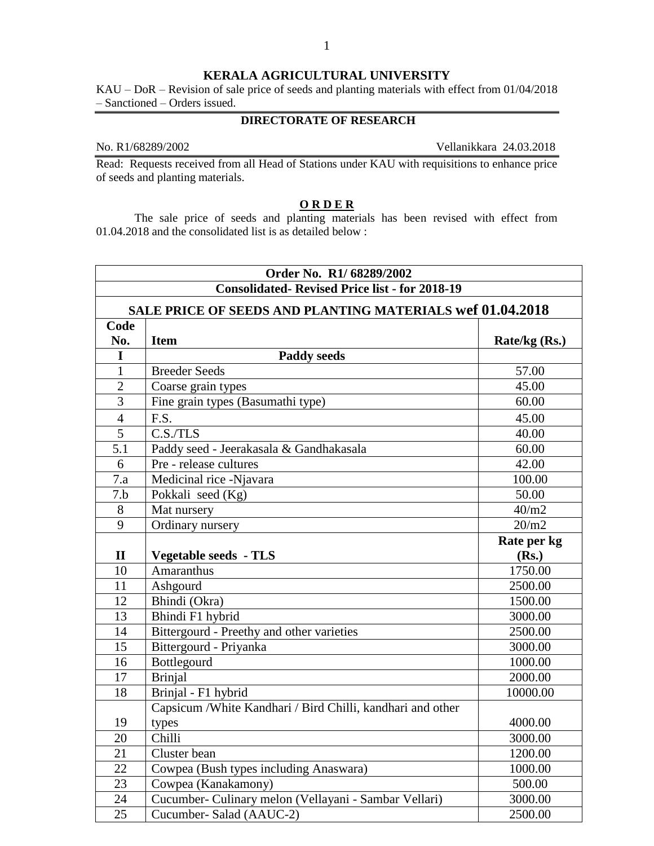## **KERALA AGRICULTURAL UNIVERSITY**

KAU – DoR – Revision of sale price of seeds and planting materials with effect from 01/04/2018 – Sanctioned – Orders issued.

## **DIRECTORATE OF RESEARCH**

No. R1/68289/2002 Vellanikkara 24.03.2018

Read: Requests received from all Head of Stations under KAU with requisitions to enhance price of seeds and planting materials.

## **O R D E R**

The sale price of seeds and planting materials has been revised with effect from 01.04.2018 and the consolidated list is as detailed below :

|                  | Order No. R1/68289/2002                                     |               |
|------------------|-------------------------------------------------------------|---------------|
|                  | <b>Consolidated-Revised Price list - for 2018-19</b>        |               |
|                  | SALE PRICE OF SEEDS AND PLANTING MATERIALS wef 01.04.2018   |               |
| Code             |                                                             |               |
| No.              | <b>Item</b>                                                 | Rate/kg (Rs.) |
| I                | <b>Paddy seeds</b>                                          |               |
| $\mathbf{1}$     | <b>Breeder Seeds</b>                                        | 57.00         |
| $\overline{2}$   | Coarse grain types                                          | 45.00         |
| $\overline{3}$   | Fine grain types (Basumathi type)                           | 60.00         |
| $\overline{4}$   | F.S.                                                        | 45.00         |
| $\overline{5}$   | $C.S.$ TLS                                                  | 40.00         |
| $\overline{5.1}$ | Paddy seed - Jeerakasala & Gandhakasala                     | 60.00         |
| 6                | Pre - release cultures                                      | 42.00         |
| 7.a              | Medicinal rice -Njavara                                     | 100.00        |
| 7.b              | Pokkali seed $(Kg)$                                         | 50.00         |
| 8                | Mat nursery                                                 | 40/m2         |
| 9                | Ordinary nursery                                            | 20/m2         |
|                  |                                                             | Rate per kg   |
| $\mathbf{I}$     | <b>Vegetable seeds - TLS</b>                                | (Rs.)         |
| 10               | Amaranthus                                                  | 1750.00       |
| $\overline{11}$  | Ashgourd                                                    | 2500.00       |
| 12               | Bhindi (Okra)                                               | 1500.00       |
| 13               | Bhindi F1 hybrid                                            | 3000.00       |
| 14               | Bittergourd - Preethy and other varieties                   | 2500.00       |
| 15               | Bittergourd - Priyanka                                      | 3000.00       |
| 16               | Bottlegourd                                                 | 1000.00       |
| 17               | <b>Brinjal</b>                                              | 2000.00       |
| 18               | Brinjal - F1 hybrid                                         | 10000.00      |
|                  | Capsicum / White Kandhari / Bird Chilli, kandhari and other |               |
| 19               | types                                                       | 4000.00       |
| 20               | Chilli                                                      | 3000.00       |
| 21               | Cluster bean                                                | 1200.00       |
| 22               | Cowpea (Bush types including Anaswara)                      | 1000.00       |
| 23               | Cowpea (Kanakamony)                                         | 500.00        |
| 24               | Cucumber- Culinary melon (Vellayani - Sambar Vellari)       | 3000.00       |
| 25               | Cucumber- Salad (AAUC-2)                                    | 2500.00       |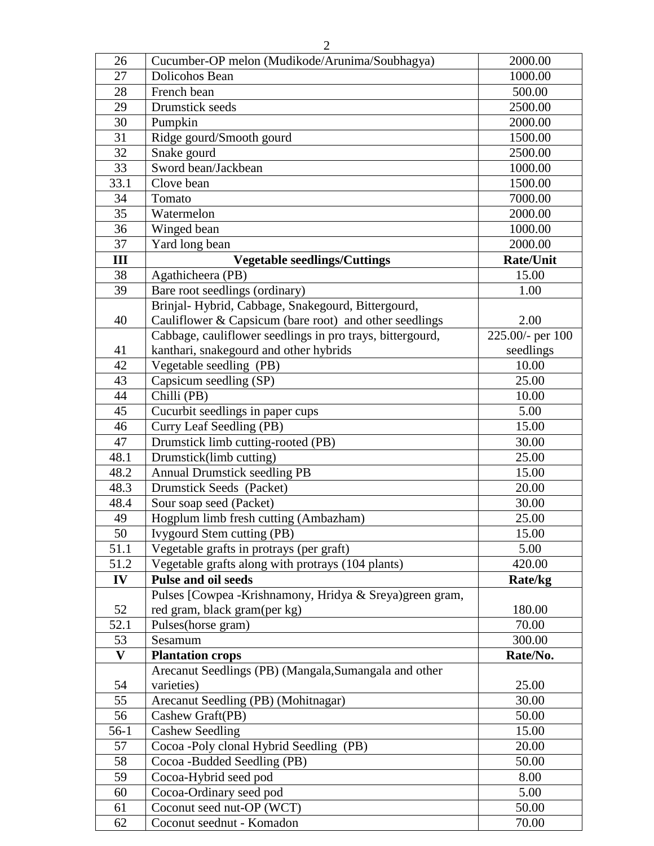| 26              | Cucumber-OP melon (Mudikode/Arunima/Soubhagya)            | 2000.00            |
|-----------------|-----------------------------------------------------------|--------------------|
| 27              | Dolicohos Bean                                            | 1000.00            |
| 28              | French bean                                               | 500.00             |
| 29              | Drumstick seeds                                           | 2500.00            |
| 30              | Pumpkin                                                   | 2000.00            |
| 31              | Ridge gourd/Smooth gourd                                  | 1500.00            |
| 32              | Snake gourd                                               | 2500.00            |
| 33              | Sword bean/Jackbean                                       | 1000.00            |
| 33.1            | Clove bean                                                | 1500.00            |
| 34              | Tomato                                                    | 7000.00            |
| 35              | Watermelon                                                | 2000.00            |
| 36              | Winged bean                                               | 1000.00            |
| 37              | Yard long bean                                            | 2000.00            |
| III             | <b>Vegetable seedlings/Cuttings</b>                       | <b>Rate/Unit</b>   |
| 38              | Agathicheera (PB)                                         | 15.00              |
| 39              | Bare root seedlings (ordinary)                            | 1.00               |
|                 | Brinjal- Hybrid, Cabbage, Snakegourd, Bittergourd,        |                    |
| 40              | Cauliflower & Capsicum (bare root) and other seedlings    | 2.00               |
|                 | Cabbage, cauliflower seedlings in pro trays, bittergourd, | $225.00/-$ per 100 |
| 41              | kanthari, snakegourd and other hybrids                    | seedlings          |
| 42              | Vegetable seedling (PB)                                   | 10.00              |
| 43              | Capsicum seedling (SP)                                    | 25.00              |
| 44              | Chilli (PB)                                               | 10.00              |
| 45              | Cucurbit seedlings in paper cups                          | 5.00               |
| 46              | Curry Leaf Seedling (PB)                                  | 15.00              |
| 47              | Drumstick limb cutting-rooted (PB)                        | 30.00              |
| 48.1            | Drumstick(limb cutting)                                   | 25.00              |
| 48.2            | <b>Annual Drumstick seedling PB</b>                       | 15.00              |
| 48.3            | Drumstick Seeds (Packet)                                  | 20.00              |
| 48.4            | Sour soap seed (Packet)                                   | 30.00              |
| 49              | Hogplum limb fresh cutting (Ambazham)                     | 25.00              |
| $\overline{50}$ | <b>Ivygourd Stem cutting (PB)</b>                         | 15.00              |
| 51.1            | Vegetable grafts in protrays (per graft)                  | 5.00               |
| 51.2            | Vegetable grafts along with protrays (104 plants)         | 420.00             |
| IV              | Pulse and oil seeds                                       | Rate/kg            |
|                 | Pulses [Cowpea - Krishnamony, Hridya & Sreya) green gram, |                    |
| 52              | red gram, black gram(per kg)                              | 180.00             |
| 52.1            | Pulses(horse gram)                                        | 70.00              |
| 53              | Sesamum                                                   | 300.00             |
| $\mathbf{V}$    | <b>Plantation crops</b>                                   | Rate/No.           |
|                 | Arecanut Seedlings (PB) (Mangala, Sumangala and other     |                    |
| 54              | varieties)                                                | 25.00              |
| 55              | Arecanut Seedling (PB) (Mohitnagar)                       | 30.00              |
| 56              | Cashew Graft(PB)                                          | 50.00              |
| $56-1$          | <b>Cashew Seedling</b>                                    | 15.00              |
| 57              | Cocoa -Poly clonal Hybrid Seedling (PB)                   | 20.00              |
| 58              | Cocoa -Budded Seedling (PB)                               | 50.00              |
| 59              | Cocoa-Hybrid seed pod                                     | 8.00               |
| 60              | Cocoa-Ordinary seed pod                                   | 5.00               |
| 61              | Coconut seed nut-OP (WCT)                                 | 50.00              |
| 62              | Coconut seednut - Komadon                                 | 70.00              |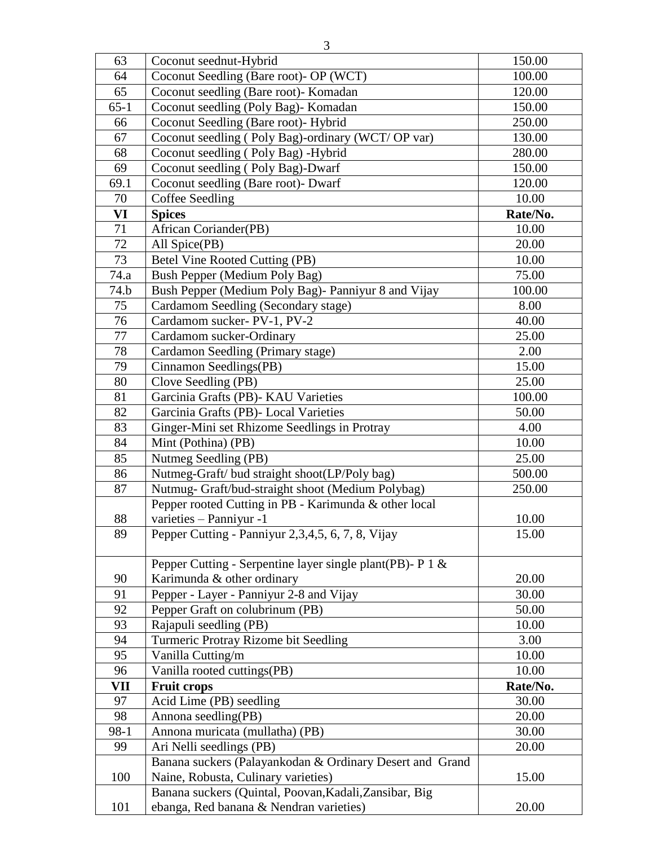| 63       | Coconut seednut-Hybrid                                    | 150.00   |
|----------|-----------------------------------------------------------|----------|
| 64       | Coconut Seedling (Bare root)- OP (WCT)                    | 100.00   |
| 65       | Coconut seedling (Bare root)- Komadan                     | 120.00   |
| $65 - 1$ | Coconut seedling (Poly Bag)- Komadan                      | 150.00   |
| 66       | Coconut Seedling (Bare root)- Hybrid                      | 250.00   |
| 67       | Coconut seedling (Poly Bag)-ordinary (WCT/OP var)         | 130.00   |
| 68       | Coconut seedling (Poly Bag) -Hybrid                       | 280.00   |
| 69       | Coconut seedling (Poly Bag)-Dwarf                         | 150.00   |
| 69.1     | Coconut seedling (Bare root)- Dwarf                       | 120.00   |
| 70       | Coffee Seedling                                           | 10.00    |
| VI       | <b>Spices</b>                                             | Rate/No. |
| 71       | African Coriander(PB)                                     | 10.00    |
| 72       | All Spice(PB)                                             | 20.00    |
| 73       | Betel Vine Rooted Cutting (PB)                            | 10.00    |
| 74.a     | Bush Pepper (Medium Poly Bag)                             | 75.00    |
| 74.b     | Bush Pepper (Medium Poly Bag)- Panniyur 8 and Vijay       | 100.00   |
| 75       | Cardamom Seedling (Secondary stage)                       | 8.00     |
| 76       | Cardamom sucker-PV-1, PV-2                                | 40.00    |
| 77       | Cardamom sucker-Ordinary                                  | 25.00    |
| 78       | Cardamon Seedling (Primary stage)                         | 2.00     |
| 79       | Cinnamon Seedlings(PB)                                    | 15.00    |
| 80       | Clove Seedling (PB)                                       | 25.00    |
| 81       | Garcinia Grafts (PB)- KAU Varieties                       | 100.00   |
| 82       | Garcinia Grafts (PB)- Local Varieties                     | 50.00    |
| 83       | Ginger-Mini set Rhizome Seedlings in Protray              | 4.00     |
| 84       | Mint (Pothina) (PB)                                       | 10.00    |
| 85       | Nutmeg Seedling (PB)                                      | 25.00    |
| 86       | Nutmeg-Graft/ bud straight shoot(LP/Poly bag)             | 500.00   |
| 87       | Nutmug- Graft/bud-straight shoot (Medium Polybag)         | 250.00   |
|          | Pepper rooted Cutting in PB - Karimunda & other local     |          |
| 88       | varieties - Panniyur -1                                   | 10.00    |
| 89       | Pepper Cutting - Panniyur 2,3,4,5, 6, 7, 8, Vijay         | 15.00    |
|          |                                                           |          |
|          | Pepper Cutting - Serpentine layer single plant(PB)- P 1 & |          |
| 90       | Karimunda & other ordinary                                | 20.00    |
| 91       | Pepper - Layer - Panniyur 2-8 and Vijay                   | 30.00    |
| 92       | Pepper Graft on colubrinum (PB)                           | 50.00    |
| 93       | Rajapuli seedling (PB)                                    | 10.00    |
| 94       | Turmeric Protray Rizome bit Seedling                      | 3.00     |
| 95       | Vanilla Cutting/m                                         | 10.00    |
| 96       | Vanilla rooted cuttings(PB)                               | 10.00    |
| VII      | <b>Fruit crops</b>                                        | Rate/No. |
| 97       | Acid Lime (PB) seedling                                   | 30.00    |
| 98       | Annona seedling(PB)                                       | 20.00    |
| $98-1$   | Annona muricata (mullatha) (PB)                           | 30.00    |
| 99       | Ari Nelli seedlings (PB)                                  | 20.00    |
|          | Banana suckers (Palayankodan & Ordinary Desert and Grand  |          |
| 100      | Naine, Robusta, Culinary varieties)                       | 15.00    |
|          | Banana suckers (Quintal, Poovan, Kadali, Zansibar, Big    |          |
| 101      | ebanga, Red banana & Nendran varieties)                   | 20.00    |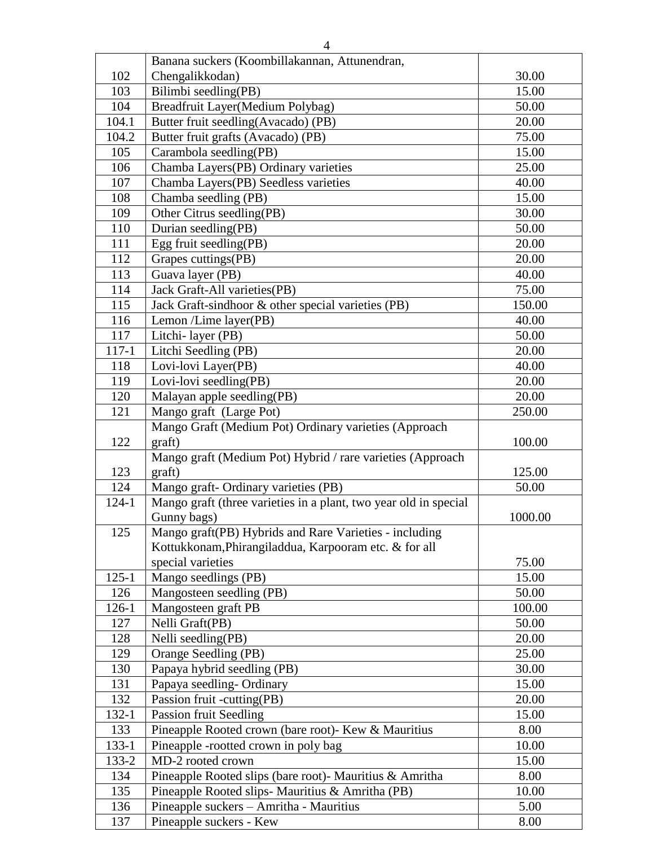|           | Banana suckers (Koombillakannan, Attunendran,                    |         |
|-----------|------------------------------------------------------------------|---------|
| 102       | Chengalikkodan)                                                  | 30.00   |
| 103       | Bilimbi seedling(PB)                                             | 15.00   |
| 104       | Breadfruit Layer(Medium Polybag)                                 | 50.00   |
| 104.1     | Butter fruit seedling(Avacado) (PB)                              | 20.00   |
| 104.2     | Butter fruit grafts (Avacado) (PB)                               | 75.00   |
| 105       | Carambola seedling(PB)                                           | 15.00   |
| 106       | Chamba Layers(PB) Ordinary varieties                             | 25.00   |
| 107       | Chamba Layers(PB) Seedless varieties                             | 40.00   |
| 108       | Chamba seedling (PB)                                             | 15.00   |
| 109       | Other Citrus seedling(PB)                                        | 30.00   |
| 110       | Durian seedling(PB)                                              | 50.00   |
| 111       | Egg fruit seedling(PB)                                           | 20.00   |
| 112       | Grapes cuttings(PB)                                              | 20.00   |
| 113       | Guava layer (PB)                                                 | 40.00   |
| 114       | Jack Graft-All varieties(PB)                                     | 75.00   |
| 115       | Jack Graft-sindhoor & other special varieties (PB)               | 150.00  |
| 116       | Lemon /Lime layer(PB)                                            | 40.00   |
| 117       | Litchi-layer (PB)                                                | 50.00   |
| $117 - 1$ | Litchi Seedling (PB)                                             | 20.00   |
| 118       | Lovi-lovi Layer(PB)                                              | 40.00   |
| 119       | Lovi-lovi seedling(PB)                                           | 20.00   |
| 120       | Malayan apple seedling(PB)                                       | 20.00   |
| 121       | Mango graft (Large Pot)                                          | 250.00  |
|           | Mango Graft (Medium Pot) Ordinary varieties (Approach            |         |
| 122       | graft)                                                           | 100.00  |
|           | Mango graft (Medium Pot) Hybrid / rare varieties (Approach       |         |
| 123       | graft)                                                           | 125.00  |
| 124       | Mango graft- Ordinary varieties (PB)                             | 50.00   |
| 124-1     | Mango graft (three varieties in a plant, two year old in special |         |
|           | Gunny bags)                                                      | 1000.00 |
| 125       | Mango graft(PB) Hybrids and Rare Varieties - including           |         |
|           | Kottukkonam, Phirangiladdua, Karpooram etc. & for all            |         |
|           | special varieties                                                | 75.00   |
| $125 - 1$ | Mango seedlings (PB)                                             | 15.00   |
| 126       | Mangosteen seedling (PB)                                         | 50.00   |
| $126 - 1$ | Mangosteen graft PB                                              | 100.00  |
| 127       | Nelli Graft(PB)                                                  | 50.00   |
| 128       | Nelli seedling(PB)                                               | 20.00   |
| 129       | Orange Seedling (PB)                                             | 25.00   |
| 130       | Papaya hybrid seedling (PB)                                      | 30.00   |
| 131       | Papaya seedling-Ordinary                                         | 15.00   |
| 132       | Passion fruit -cutting(PB)                                       | 20.00   |
| $132 - 1$ | <b>Passion fruit Seedling</b>                                    | 15.00   |
| 133       | Pineapple Rooted crown (bare root)- Kew & Mauritius              | 8.00    |
| $133 - 1$ | Pineapple -rootted crown in poly bag                             | 10.00   |
| 133-2     | MD-2 rooted crown                                                | 15.00   |
| 134       | Pineapple Rooted slips (bare root)- Mauritius & Amritha          | 8.00    |
| 135       | Pineapple Rooted slips-Mauritius & Amritha (PB)                  | 10.00   |
| 136       | Pineapple suckers - Amritha - Mauritius                          | 5.00    |
| 137       | Pineapple suckers - Kew                                          | 8.00    |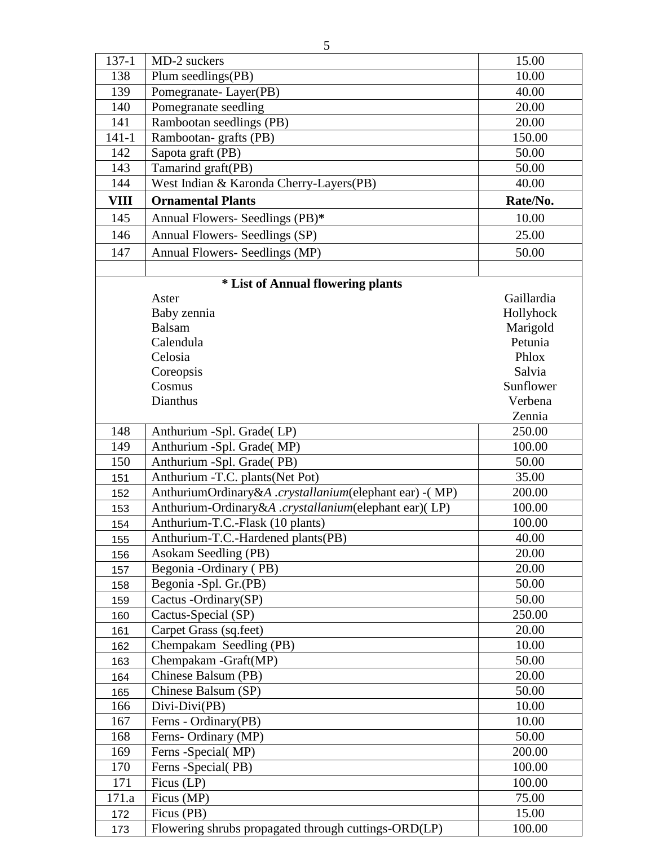| $137 - 1$   | MD-2 suckers                                          | 15.00      |
|-------------|-------------------------------------------------------|------------|
| 138         | Plum seedlings(PB)                                    | 10.00      |
| 139         | Pomegranate-Layer(PB)                                 | 40.00      |
| 140         | Pomegranate seedling                                  | 20.00      |
| 141         | Rambootan seedlings (PB)                              | 20.00      |
| $141 - 1$   | Rambootan-grafts (PB)                                 | 150.00     |
| 142         | Sapota graft (PB)                                     | 50.00      |
| 143         | Tamarind graft(PB)                                    | 50.00      |
| 144         | West Indian & Karonda Cherry-Layers(PB)               | 40.00      |
| <b>VIII</b> | <b>Ornamental Plants</b>                              | Rate/No.   |
| 145         | Annual Flowers- Seedlings (PB)*                       | 10.00      |
|             |                                                       |            |
| 146         | Annual Flowers- Seedlings (SP)                        | 25.00      |
| 147         | Annual Flowers- Seedlings (MP)                        | 50.00      |
|             |                                                       |            |
|             | * List of Annual flowering plants                     |            |
|             | Aster                                                 | Gaillardia |
|             | Baby zennia                                           | Hollyhock  |
|             | <b>Balsam</b>                                         | Marigold   |
|             | Calendula                                             | Petunia    |
|             | Celosia                                               | Phlox      |
|             | Coreopsis                                             | Salvia     |
|             | Cosmus                                                | Sunflower  |
|             | Dianthus                                              | Verbena    |
|             |                                                       | Zennia     |
| 148         | Anthurium -Spl. Grade(LP)                             | 250.00     |
| 149         | Anthurium -Spl. Grade(MP)                             | 100.00     |
| 150         | Anthurium -Spl. Grade(PB)                             | 50.00      |
| 151         | Anthurium -T.C. plants(Net Pot)                       | 35.00      |
| 152         | AnthuriumOrdinary&A.crystallanium(elephant ear) -(MP) | 200.00     |
| 153         | Anthurium-Ordinary&A.crystallanium(elephant ear)(LP)  | 100.00     |
| 154         | Anthurium-T.C.-Flask (10 plants)                      | 100.00     |
| 155         | Anthurium-T.C.-Hardened plants(PB)                    | 40.00      |
| 156         | Asokam Seedling (PB)                                  | 20.00      |
| 157         | Begonia - Ordinary (PB)                               | 20.00      |
| 158         | Begonia -Spl. Gr.(PB)                                 | 50.00      |
| 159         | Cactus -Ordinary(SP)                                  | 50.00      |
| 160         | Cactus-Special (SP)                                   | 250.00     |
| 161         | Carpet Grass (sq.feet)                                | 20.00      |
| 162         | Chempakam Seedling (PB)                               | 10.00      |
| 163         | Chempakam - Graft(MP)                                 | 50.00      |
| 164         | Chinese Balsum (PB)                                   | 20.00      |
| 165         | Chinese Balsum (SP)                                   | 50.00      |
| 166         | Divi-Divi(PB)                                         | 10.00      |
| 167         | Ferns - Ordinary(PB)                                  | 10.00      |
| 168         | Ferns-Ordinary (MP)                                   | 50.00      |
| 169         | Ferns - Special (MP)                                  | 200.00     |
| 170         | Ferns -Special(PB)                                    | 100.00     |
| 171         | Ficus (LP)                                            | 100.00     |
| 171.a       | Ficus (MP)                                            | 75.00      |
| 172         | Ficus (PB)                                            | 15.00      |
| 173         | Flowering shrubs propagated through cuttings-ORD(LP)  | 100.00     |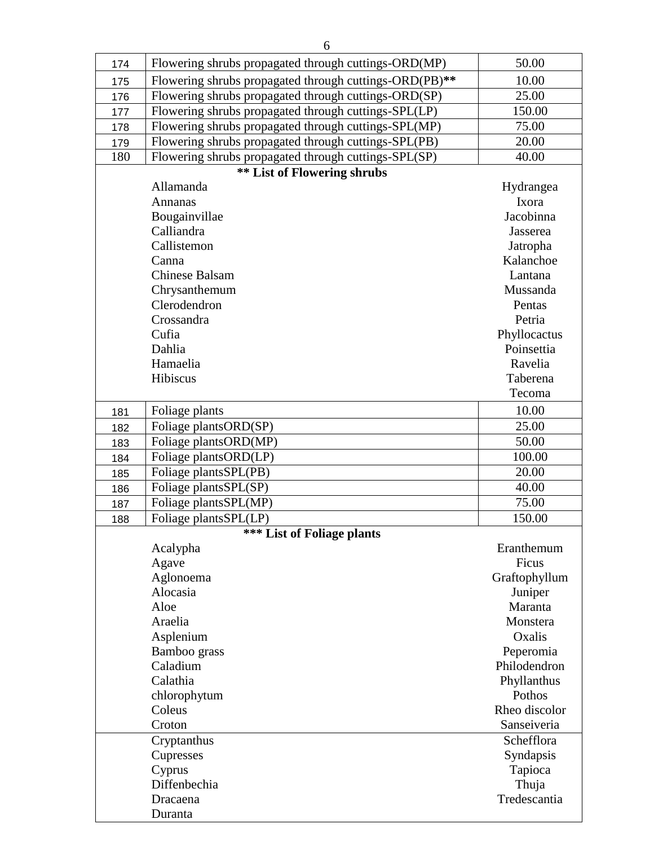| 174 | Flowering shrubs propagated through cuttings-ORD(MP)   | 50.00         |
|-----|--------------------------------------------------------|---------------|
| 175 | Flowering shrubs propagated through cuttings-ORD(PB)** | 10.00         |
| 176 | Flowering shrubs propagated through cuttings-ORD(SP)   | 25.00         |
| 177 | Flowering shrubs propagated through cuttings-SPL(LP)   | 150.00        |
| 178 | Flowering shrubs propagated through cuttings-SPL(MP)   | 75.00         |
| 179 | Flowering shrubs propagated through cuttings-SPL(PB)   | 20.00         |
| 180 | Flowering shrubs propagated through cuttings-SPL(SP)   | 40.00         |
|     | <b>** List of Flowering shrubs</b>                     |               |
|     | Allamanda                                              | Hydrangea     |
|     | Annanas                                                | Ixora         |
|     | Bougainvillae                                          | Jacobinna     |
|     | Calliandra                                             | Jasserea      |
|     | Callistemon                                            | Jatropha      |
|     | Canna                                                  | Kalanchoe     |
|     | <b>Chinese Balsam</b>                                  | Lantana       |
|     | Chrysanthemum                                          | Mussanda      |
|     | Clerodendron                                           | Pentas        |
|     | Crossandra                                             | Petria        |
|     | Cufia                                                  | Phyllocactus  |
|     | Dahlia                                                 | Poinsettia    |
|     | Hamaelia                                               | Ravelia       |
|     | Hibiscus                                               | Taberena      |
|     |                                                        | Tecoma        |
| 181 | Foliage plants                                         | 10.00         |
| 182 | Foliage plantsORD(SP)                                  | 25.00         |
| 183 | Foliage plantsORD(MP)                                  | 50.00         |
|     | Foliage plantsORD(LP)                                  | 100.00        |
| 184 | Foliage plantsSPL(PB)                                  | 20.00         |
| 185 |                                                        | 40.00         |
| 186 | Foliage plantsSPL(SP)                                  | 75.00         |
| 187 | Foliage plantsSPL(MP)                                  |               |
| 188 | Foliage plantsSPL(LP)                                  | 150.00        |
|     | *** List of Foliage plants                             |               |
|     | Acalypha                                               | Eranthemum    |
|     | Agave                                                  | Ficus         |
|     | Aglonoema                                              | Graftophyllum |
|     | Alocasia                                               | Juniper       |
|     | Aloe                                                   | Maranta       |
|     | Araelia                                                | Monstera      |
|     | Asplenium                                              | Oxalis        |
|     | Bamboo grass                                           | Peperomia     |
|     | Caladium                                               | Philodendron  |
|     | Calathia                                               | Phyllanthus   |
|     | chlorophytum                                           | Pothos        |
|     | Coleus                                                 | Rheo discolor |
|     | Croton                                                 | Sanseiveria   |
|     | Cryptanthus                                            | Schefflora    |
|     | Cupresses                                              | Syndapsis     |
|     | Cyprus                                                 | Tapioca       |
|     | Diffenbechia                                           | Thuja         |
|     | Dracaena                                               | Tredescantia  |
|     | Duranta                                                |               |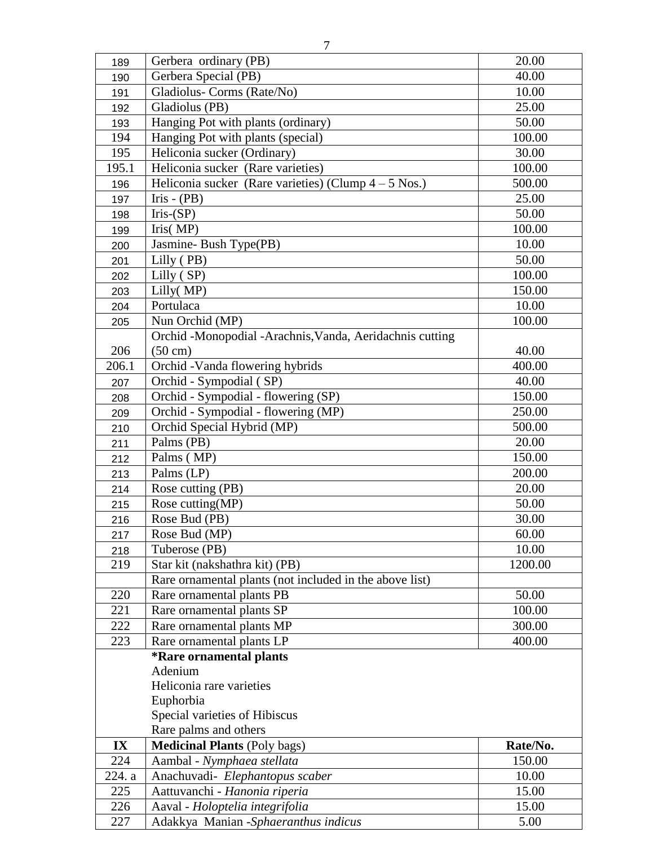| 189        | Gerbera ordinary (PB)                                  | 20.00  |
|------------|--------------------------------------------------------|--------|
| 190        | Gerbera Special (PB)                                   | 40.00  |
| 191        | Gladiolus- Corms (Rate/No)                             | 10.00  |
| 192        | Gladiolus (PB)                                         | 25.00  |
| 193        | Hanging Pot with plants (ordinary)                     | 50.00  |
| 194        | Hanging Pot with plants (special)                      | 100.00 |
| 195        | Heliconia sucker (Ordinary)                            | 30.00  |
| 195.1      | Heliconia sucker (Rare varieties)                      | 100.00 |
| 196        | Heliconia sucker (Rare varieties) (Clump $4 - 5$ Nos.) | 500.00 |
| 197        | $Iris - (PB)$                                          | 25.00  |
| 198        | $Iris-(SP)$                                            | 50.00  |
| $\sqrt{2}$ | $\sum_{i=1}^{n}$ $\binom{n}{i}$                        | 100.00 |

| 192    | Gladiolus (PB)                                           | 25.00    |
|--------|----------------------------------------------------------|----------|
| 193    | Hanging Pot with plants (ordinary)                       | 50.00    |
| 194    | Hanging Pot with plants (special)                        | 100.00   |
| 195    | Heliconia sucker (Ordinary)                              | 30.00    |
| 195.1  | Heliconia sucker (Rare varieties)                        | 100.00   |
| 196    | Heliconia sucker (Rare varieties) (Clump $4 - 5$ Nos.)   | 500.00   |
| 197    | $Iris - (PB)$                                            | 25.00    |
| 198    | $Iris-(SP)$                                              | 50.00    |
| 199    | Tris(MP)                                                 | 100.00   |
| 200    | Jasmine-Bush Type(PB)                                    | 10.00    |
| 201    | Lilly (PB)                                               | 50.00    |
| 202    | Lilly (SP)                                               | 100.00   |
| 203    | Lilly(MP)                                                | 150.00   |
| 204    | Portulaca                                                | 10.00    |
| 205    | Nun Orchid (MP)                                          | 100.00   |
|        | Orchid -Monopodial -Arachnis, Vanda, Aeridachnis cutting |          |
| 206    | $(50 \text{ cm})$                                        | 40.00    |
| 206.1  | Orchid - Vanda flowering hybrids                         | 400.00   |
| 207    | Orchid - Sympodial (SP)                                  | 40.00    |
| 208    | Orchid - Sympodial - flowering (SP)                      | 150.00   |
| 209    | Orchid - Sympodial - flowering (MP)                      | 250.00   |
| 210    | Orchid Special Hybrid (MP)                               | 500.00   |
| 211    | Palms (PB)                                               | 20.00    |
| 212    | Palms (MP)                                               | 150.00   |
| 213    | Palms (LP)                                               | 200.00   |
| 214    | Rose cutting (PB)                                        | 20.00    |
| 215    | Rose cutting(MP)                                         | 50.00    |
| 216    | Rose Bud (PB)                                            | 30.00    |
| 217    | Rose Bud (MP)                                            | 60.00    |
| 218    | Tuberose (PB)                                            | 10.00    |
| 219    | Star kit (nakshathra kit) (PB)                           | 1200.00  |
|        | Rare ornamental plants (not included in the above list)  |          |
| 220    | Rare ornamental plants PB                                | 50.00    |
| 221    | Rare ornamental plants SP                                | 100.00   |
| 222    | Rare ornamental plants MP                                | 300.00   |
| 223    | Rare ornamental plants LP                                | 400.00   |
|        | <i><b>*Rare ornamental plants</b></i>                    |          |
|        | Adenium                                                  |          |
|        | Heliconia rare varieties                                 |          |
|        | Euphorbia                                                |          |
|        | Special varieties of Hibiscus                            |          |
|        | Rare palms and others                                    |          |
| IX     | <b>Medicinal Plants (Poly bags)</b>                      | Rate/No. |
| 224    | Aambal - Nymphaea stellata                               | 150.00   |
| 224. a | Anachuvadi- Elephantopus scaber                          | 10.00    |
| 225    | Aattuvanchi - Hanonia riperia                            | 15.00    |
| 226    | Aaval - Holoptelia integrifolia                          | 15.00    |
| 227    | Adakkya Manian -Sphaeranthus indicus                     | 5.00     |
|        |                                                          |          |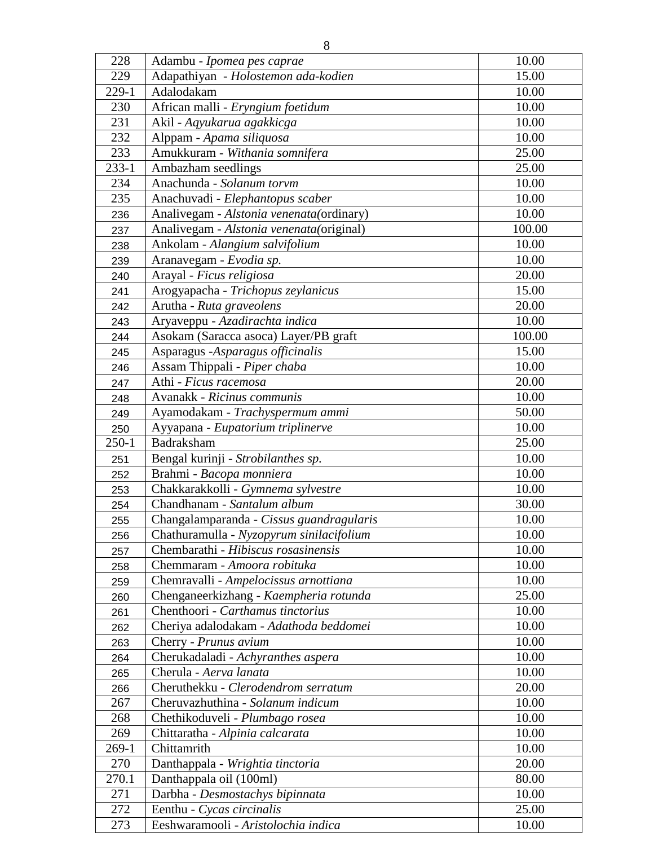| 228        | Adambu - Ipomea pes caprae                                               | 10.00  |
|------------|--------------------------------------------------------------------------|--------|
| 229        | Adapathiyan - Holostemon ada-kodien                                      | 15.00  |
| 229-1      | Adalodakam                                                               | 10.00  |
| 230        | African malli - Eryngium foetidum                                        | 10.00  |
| 231        | Akil - Aqyukarua agakkicga                                               | 10.00  |
| 232        |                                                                          | 10.00  |
|            | Alppam - Apama siliquosa                                                 | 25.00  |
| 233        | Amukkuram - Withania somnifera                                           |        |
| $233 - 1$  | Ambazham seedlings                                                       | 25.00  |
| 234        | Anachunda - Solanum torvm                                                | 10.00  |
| 235        | Anachuvadi - Elephantopus scaber                                         | 10.00  |
| 236        | Analivegam - Alstonia venenata(ordinary)                                 | 10.00  |
| 237        | Analivegam - Alstonia venenata(original)                                 | 100.00 |
| 238        | Ankolam - Alangium salvifolium                                           | 10.00  |
| 239        | Aranavegam - Evodia sp.                                                  | 10.00  |
| 240        | Arayal - Ficus religiosa                                                 | 20.00  |
| 241        | Arogyapacha - Trichopus zeylanicus                                       | 15.00  |
| 242        | Arutha - Ruta graveolens                                                 | 20.00  |
| 243        | Aryaveppu - Azadirachta indica                                           | 10.00  |
| 244        | Asokam (Saracca asoca) Layer/PB graft                                    | 100.00 |
| 245        | Asparagus -Asparagus officinalis                                         | 15.00  |
| 246        | Assam Thippali - Piper chaba                                             | 10.00  |
| 247        | Athi - Ficus racemosa                                                    | 20.00  |
| 248        | Avanakk - Ricinus communis                                               | 10.00  |
| 249        | Ayamodakam - Trachyspermum ammi                                          | 50.00  |
| 250        | Ayyapana - Eupatorium triplinerve                                        | 10.00  |
| $250 - 1$  | Badraksham                                                               | 25.00  |
| 251        | Bengal kurinji - Strobilanthes sp.                                       | 10.00  |
| 252        | Brahmi - Bacopa monniera                                                 | 10.00  |
| 253        | Chakkarakkolli - Gymnema sylvestre                                       | 10.00  |
| 254        | Chandhanam - Santalum album                                              | 30.00  |
| 255        | Changalamparanda - Cissus guandragularis                                 | 10.00  |
| 256        | Chathuramulla - Nyzopyrum sinilacifolium                                 | 10.00  |
| 257        | Chembarathi - Hibiscus rosasinensis                                      | 10.00  |
| 258        | Chemmaram - Amoora robituka                                              | 10.00  |
| 259        | Chemravalli - Ampelocissus arnottiana                                    | 10.00  |
| 260        | Chenganeerkizhang - Kaempheria rotunda                                   | 25.00  |
| 261        | Chenthoori - Carthamus tinctorius                                        | 10.00  |
| 262        | Cheriya adalodakam - Adathoda beddomei                                   | 10.00  |
|            | Cherry - Prunus avium                                                    | 10.00  |
| 263<br>264 | Cherukadaladi - Achyranthes aspera                                       | 10.00  |
|            | Cherula - Aerva lanata                                                   | 10.00  |
| 265        |                                                                          | 20.00  |
| 266<br>267 | Cheruthekku - Clerodendrom serratum<br>Cheruvazhuthina - Solanum indicum | 10.00  |
|            |                                                                          |        |
| 268        | Chethikoduveli - Plumbago rosea                                          | 10.00  |
| 269        | Chittaratha - Alpinia calcarata                                          | 10.00  |
| $269-1$    | Chittamrith                                                              | 10.00  |
| 270        | Danthappala - Wrightia tinctoria                                         | 20.00  |
| 270.1      | Danthappala oil (100ml)                                                  | 80.00  |
| 271        | Darbha - Desmostachys bipinnata                                          | 10.00  |
| 272        | Eenthu - Cycas circinalis                                                | 25.00  |
| 273        | Eeshwaramooli - Aristolochia indica                                      | 10.00  |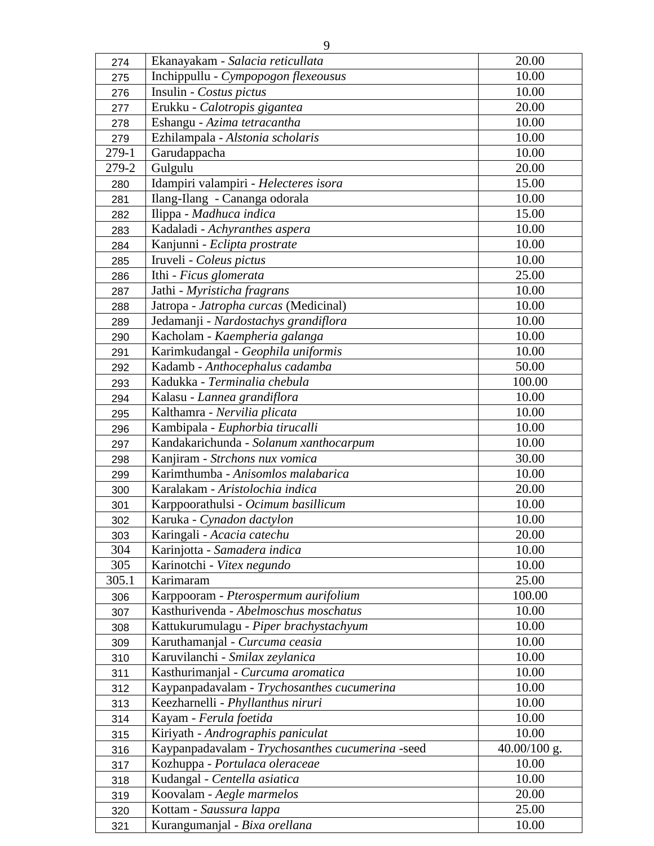| 274   | Ekanayakam - Salacia reticullata                 | 20.00        |
|-------|--------------------------------------------------|--------------|
| 275   | Inchippullu - Cympopogon flexeousus              | 10.00        |
| 276   | Insulin - Costus pictus                          | 10.00        |
| 277   | Erukku - Calotropis gigantea                     | 20.00        |
| 278   | Eshangu - Azima tetracantha                      | 10.00        |
| 279   | Ezhilampala - Alstonia scholaris                 | 10.00        |
| 279-1 | Garudappacha                                     | 10.00        |
| 279-2 | Gulgulu                                          | 20.00        |
| 280   | Idampiri valampiri - Helecteres isora            | 15.00        |
| 281   | Ilang-Ilang - Cananga odorala                    | 10.00        |
| 282   | Ilippa - Madhuca indica                          | 15.00        |
| 283   | Kadaladi - Achyranthes aspera                    | 10.00        |
| 284   | Kanjunni - Eclipta prostrate                     | 10.00        |
| 285   | Iruveli - Coleus pictus                          | 10.00        |
| 286   | Ithi - Ficus glomerata                           | 25.00        |
| 287   | Jathi - Myristicha fragrans                      | 10.00        |
| 288   | Jatropa - Jatropha curcas (Medicinal)            | 10.00        |
| 289   | Jedamanji - Nardostachys grandiflora             | 10.00        |
| 290   | Kacholam - Kaempheria galanga                    | 10.00        |
| 291   | Karimkudangal - Geophila uniformis               | 10.00        |
| 292   | Kadamb - Anthocephalus cadamba                   | 50.00        |
| 293   | Kadukka - Terminalia chebula                     | 100.00       |
| 294   | Kalasu - Lannea grandiflora                      | 10.00        |
| 295   | Kalthamra - Nervilia plicata                     | 10.00        |
| 296   | Kambipala - Euphorbia tirucalli                  | 10.00        |
| 297   | Kandakarichunda - Solanum xanthocarpum           | 10.00        |
| 298   | Kanjiram - Strchons nux vomica                   | 30.00        |
| 299   | Karimthumba - Anisomlos malabarica               | 10.00        |
| 300   | Karalakam - Aristolochia indica                  | 20.00        |
| 301   | Karppoorathulsi - Ocimum basillicum              | 10.00        |
| 302   | Karuka - Cynadon dactylon                        | 10.00        |
| 303   | Karingali - Acacia catechu                       | 20.00        |
| 304   | Karinjotta - Samadera indica                     | 10.00        |
| 305   | Karinotchi - Vitex negundo                       | 10.00        |
| 305.1 | Karimaram                                        | 25.00        |
| 306   | Karppooram - Pterospermum aurifolium             | 100.00       |
| 307   | Kasthurivenda - Abelmoschus moschatus            | 10.00        |
| 308   | Kattukurumulagu - Piper brachystachyum           | 10.00        |
| 309   | Karuthamanjal - Curcuma ceasia                   | 10.00        |
| 310   | Karuvilanchi - Smilax zeylanica                  | 10.00        |
| 311   | Kasthurimanjal - Curcuma aromatica               | 10.00        |
| 312   | Kaypanpadavalam - Trychosanthes cucumerina       | 10.00        |
| 313   | Keezharnelli - Phyllanthus niruri                | 10.00        |
| 314   | Kayam - Ferula foetida                           | 10.00        |
| 315   | Kiriyath - Andrographis paniculat                | 10.00        |
| 316   | Kaypanpadavalam - Trychosanthes cucumerina -seed | 40.00/100 g. |
| 317   | Kozhuppa - Portulaca oleraceae                   | 10.00        |
| 318   | Kudangal - Centella asiatica                     | 10.00        |
| 319   | Koovalam - Aegle marmelos                        | 20.00        |
| 320   | Kottam - Saussura lappa                          | 25.00        |
| 321   | Kurangumanjal - Bixa orellana                    | 10.00        |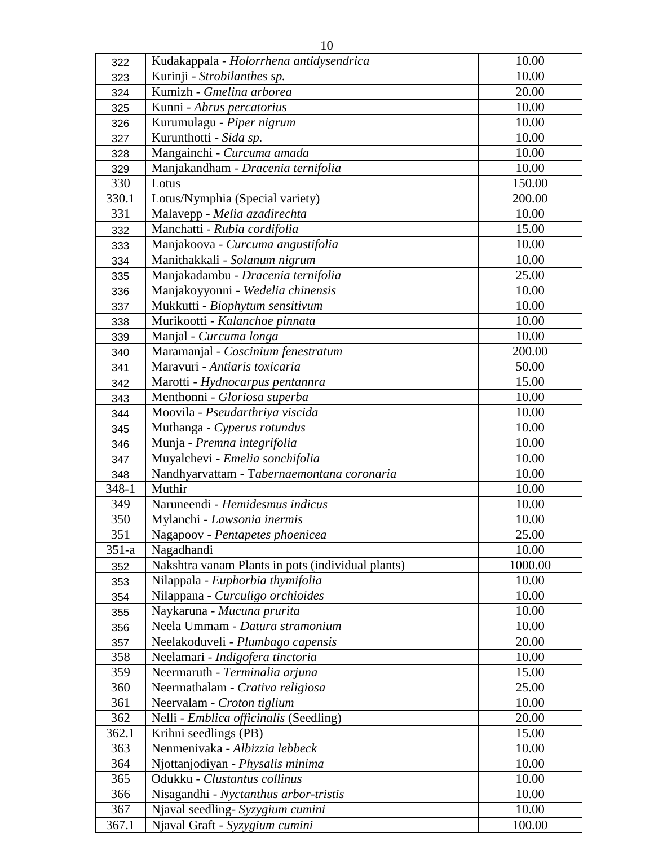| Kurinji - Strobilanthes sp.<br>10.00<br>323<br>Kumizh - Gmelina arborea<br>20.00<br>324<br>10.00<br>Kunni - Abrus percatorius<br>325<br>Kurumulagu - Piper nigrum<br>10.00<br>326<br>Kurunthotti - Sida sp.<br>10.00<br>327<br>Mangainchi - Curcuma amada<br>10.00<br>328<br>10.00<br>Manjakandham - Dracenia ternifolia<br>329<br>330<br>150.00<br>Lotus<br>200.00<br>330.1<br>Lotus/Nymphia (Special variety)<br>10.00<br>331<br>Malavepp - Melia azadirechta<br>15.00<br>Manchatti - Rubia cordifolia<br>332<br>Manjakoova - Curcuma angustifolia<br>10.00<br>333<br>Manithakkali - Solanum nigrum<br>10.00<br>334<br>Manjakadambu - Dracenia ternifolia<br>25.00<br>335<br>Manjakoyyonni - Wedelia chinensis<br>10.00<br>336<br>10.00<br>Mukkutti - Biophytum sensitivum<br>337<br>10.00<br>Murikootti - Kalanchoe pinnata<br>338<br>10.00<br>Manjal - Curcuma longa<br>339<br>200.00<br>Maramanjal - Coscinium fenestratum<br>340<br>Maravuri - Antiaris toxicaria<br>50.00<br>341<br>15.00<br>Marotti - Hydnocarpus pentannra<br>342<br>10.00<br>Menthonni - Gloriosa superba<br>343<br>Moovila - Pseudarthriya viscida<br>10.00<br>344<br>10.00<br>Muthanga - Cyperus rotundus<br>345<br>10.00<br>Munja - Premna integrifolia<br>346<br>Muyalchevi - Emelia sonchifolia<br>10.00<br>347<br>10.00<br>Nandhyarvattam - Tabernaemontana coronaria<br>348<br>Muthir<br>348-1<br>10.00<br>349<br>10.00<br>Naruneendi - Hemidesmus indicus<br>350<br>Mylanchi - Lawsonia inermis<br>10.00<br>351<br>Nagapoov - Pentapetes phoenicea<br>25.00<br>10.00<br>Nagadhandi<br>$351-a$<br>Nakshtra vanam Plants in pots (individual plants)<br>1000.00<br>352<br>10.00<br>Nilappala - Euphorbia thymifolia<br>353<br>10.00<br>Nilappana - Curculigo orchioides<br>354<br>10.00<br>Naykaruna - Mucuna prurita<br>355<br>Neela Ummam - Datura stramonium<br>10.00<br>356<br>Neelakoduveli - Plumbago capensis<br>20.00<br>357<br>10.00<br>358<br>Neelamari - Indigofera tinctoria<br>15.00<br>Neermaruth - Terminalia arjuna<br>359<br>360<br>Neermathalam - Crativa religiosa<br>25.00<br>361<br>Neervalam - Croton tiglium<br>10.00<br>20.00<br>362<br>Nelli - Emblica officinalis (Seedling)<br>362.1<br>Krihni seedlings (PB)<br>15.00<br>10.00<br>363<br>Nenmenivaka - Albizzia lebbeck<br>Njottanjodiyan - Physalis minima<br>10.00<br>364<br>10.00<br>365<br>Odukku - Clustantus collinus<br>10.00<br>366<br>Nisagandhi - Nyctanthus arbor-tristis<br>Njaval seedling- Syzygium cumini<br>367<br>10.00<br>Njaval Graft - Syzygium cumini<br>100.00<br>367.1 | 322 | Kudakappala - Holorrhena antidysendrica | 10.00 |
|-----------------------------------------------------------------------------------------------------------------------------------------------------------------------------------------------------------------------------------------------------------------------------------------------------------------------------------------------------------------------------------------------------------------------------------------------------------------------------------------------------------------------------------------------------------------------------------------------------------------------------------------------------------------------------------------------------------------------------------------------------------------------------------------------------------------------------------------------------------------------------------------------------------------------------------------------------------------------------------------------------------------------------------------------------------------------------------------------------------------------------------------------------------------------------------------------------------------------------------------------------------------------------------------------------------------------------------------------------------------------------------------------------------------------------------------------------------------------------------------------------------------------------------------------------------------------------------------------------------------------------------------------------------------------------------------------------------------------------------------------------------------------------------------------------------------------------------------------------------------------------------------------------------------------------------------------------------------------------------------------------------------------------------------------------------------------------------------------------------------------------------------------------------------------------------------------------------------------------------------------------------------------------------------------------------------------------------------------------------------------------------------------------------------------------------------------------------------------------------------------------------------------------------------------------------|-----|-----------------------------------------|-------|
|                                                                                                                                                                                                                                                                                                                                                                                                                                                                                                                                                                                                                                                                                                                                                                                                                                                                                                                                                                                                                                                                                                                                                                                                                                                                                                                                                                                                                                                                                                                                                                                                                                                                                                                                                                                                                                                                                                                                                                                                                                                                                                                                                                                                                                                                                                                                                                                                                                                                                                                                                           |     |                                         |       |
|                                                                                                                                                                                                                                                                                                                                                                                                                                                                                                                                                                                                                                                                                                                                                                                                                                                                                                                                                                                                                                                                                                                                                                                                                                                                                                                                                                                                                                                                                                                                                                                                                                                                                                                                                                                                                                                                                                                                                                                                                                                                                                                                                                                                                                                                                                                                                                                                                                                                                                                                                           |     |                                         |       |
|                                                                                                                                                                                                                                                                                                                                                                                                                                                                                                                                                                                                                                                                                                                                                                                                                                                                                                                                                                                                                                                                                                                                                                                                                                                                                                                                                                                                                                                                                                                                                                                                                                                                                                                                                                                                                                                                                                                                                                                                                                                                                                                                                                                                                                                                                                                                                                                                                                                                                                                                                           |     |                                         |       |
|                                                                                                                                                                                                                                                                                                                                                                                                                                                                                                                                                                                                                                                                                                                                                                                                                                                                                                                                                                                                                                                                                                                                                                                                                                                                                                                                                                                                                                                                                                                                                                                                                                                                                                                                                                                                                                                                                                                                                                                                                                                                                                                                                                                                                                                                                                                                                                                                                                                                                                                                                           |     |                                         |       |
|                                                                                                                                                                                                                                                                                                                                                                                                                                                                                                                                                                                                                                                                                                                                                                                                                                                                                                                                                                                                                                                                                                                                                                                                                                                                                                                                                                                                                                                                                                                                                                                                                                                                                                                                                                                                                                                                                                                                                                                                                                                                                                                                                                                                                                                                                                                                                                                                                                                                                                                                                           |     |                                         |       |
|                                                                                                                                                                                                                                                                                                                                                                                                                                                                                                                                                                                                                                                                                                                                                                                                                                                                                                                                                                                                                                                                                                                                                                                                                                                                                                                                                                                                                                                                                                                                                                                                                                                                                                                                                                                                                                                                                                                                                                                                                                                                                                                                                                                                                                                                                                                                                                                                                                                                                                                                                           |     |                                         |       |
|                                                                                                                                                                                                                                                                                                                                                                                                                                                                                                                                                                                                                                                                                                                                                                                                                                                                                                                                                                                                                                                                                                                                                                                                                                                                                                                                                                                                                                                                                                                                                                                                                                                                                                                                                                                                                                                                                                                                                                                                                                                                                                                                                                                                                                                                                                                                                                                                                                                                                                                                                           |     |                                         |       |
|                                                                                                                                                                                                                                                                                                                                                                                                                                                                                                                                                                                                                                                                                                                                                                                                                                                                                                                                                                                                                                                                                                                                                                                                                                                                                                                                                                                                                                                                                                                                                                                                                                                                                                                                                                                                                                                                                                                                                                                                                                                                                                                                                                                                                                                                                                                                                                                                                                                                                                                                                           |     |                                         |       |
|                                                                                                                                                                                                                                                                                                                                                                                                                                                                                                                                                                                                                                                                                                                                                                                                                                                                                                                                                                                                                                                                                                                                                                                                                                                                                                                                                                                                                                                                                                                                                                                                                                                                                                                                                                                                                                                                                                                                                                                                                                                                                                                                                                                                                                                                                                                                                                                                                                                                                                                                                           |     |                                         |       |
|                                                                                                                                                                                                                                                                                                                                                                                                                                                                                                                                                                                                                                                                                                                                                                                                                                                                                                                                                                                                                                                                                                                                                                                                                                                                                                                                                                                                                                                                                                                                                                                                                                                                                                                                                                                                                                                                                                                                                                                                                                                                                                                                                                                                                                                                                                                                                                                                                                                                                                                                                           |     |                                         |       |
|                                                                                                                                                                                                                                                                                                                                                                                                                                                                                                                                                                                                                                                                                                                                                                                                                                                                                                                                                                                                                                                                                                                                                                                                                                                                                                                                                                                                                                                                                                                                                                                                                                                                                                                                                                                                                                                                                                                                                                                                                                                                                                                                                                                                                                                                                                                                                                                                                                                                                                                                                           |     |                                         |       |
|                                                                                                                                                                                                                                                                                                                                                                                                                                                                                                                                                                                                                                                                                                                                                                                                                                                                                                                                                                                                                                                                                                                                                                                                                                                                                                                                                                                                                                                                                                                                                                                                                                                                                                                                                                                                                                                                                                                                                                                                                                                                                                                                                                                                                                                                                                                                                                                                                                                                                                                                                           |     |                                         |       |
|                                                                                                                                                                                                                                                                                                                                                                                                                                                                                                                                                                                                                                                                                                                                                                                                                                                                                                                                                                                                                                                                                                                                                                                                                                                                                                                                                                                                                                                                                                                                                                                                                                                                                                                                                                                                                                                                                                                                                                                                                                                                                                                                                                                                                                                                                                                                                                                                                                                                                                                                                           |     |                                         |       |
|                                                                                                                                                                                                                                                                                                                                                                                                                                                                                                                                                                                                                                                                                                                                                                                                                                                                                                                                                                                                                                                                                                                                                                                                                                                                                                                                                                                                                                                                                                                                                                                                                                                                                                                                                                                                                                                                                                                                                                                                                                                                                                                                                                                                                                                                                                                                                                                                                                                                                                                                                           |     |                                         |       |
|                                                                                                                                                                                                                                                                                                                                                                                                                                                                                                                                                                                                                                                                                                                                                                                                                                                                                                                                                                                                                                                                                                                                                                                                                                                                                                                                                                                                                                                                                                                                                                                                                                                                                                                                                                                                                                                                                                                                                                                                                                                                                                                                                                                                                                                                                                                                                                                                                                                                                                                                                           |     |                                         |       |
|                                                                                                                                                                                                                                                                                                                                                                                                                                                                                                                                                                                                                                                                                                                                                                                                                                                                                                                                                                                                                                                                                                                                                                                                                                                                                                                                                                                                                                                                                                                                                                                                                                                                                                                                                                                                                                                                                                                                                                                                                                                                                                                                                                                                                                                                                                                                                                                                                                                                                                                                                           |     |                                         |       |
|                                                                                                                                                                                                                                                                                                                                                                                                                                                                                                                                                                                                                                                                                                                                                                                                                                                                                                                                                                                                                                                                                                                                                                                                                                                                                                                                                                                                                                                                                                                                                                                                                                                                                                                                                                                                                                                                                                                                                                                                                                                                                                                                                                                                                                                                                                                                                                                                                                                                                                                                                           |     |                                         |       |
|                                                                                                                                                                                                                                                                                                                                                                                                                                                                                                                                                                                                                                                                                                                                                                                                                                                                                                                                                                                                                                                                                                                                                                                                                                                                                                                                                                                                                                                                                                                                                                                                                                                                                                                                                                                                                                                                                                                                                                                                                                                                                                                                                                                                                                                                                                                                                                                                                                                                                                                                                           |     |                                         |       |
|                                                                                                                                                                                                                                                                                                                                                                                                                                                                                                                                                                                                                                                                                                                                                                                                                                                                                                                                                                                                                                                                                                                                                                                                                                                                                                                                                                                                                                                                                                                                                                                                                                                                                                                                                                                                                                                                                                                                                                                                                                                                                                                                                                                                                                                                                                                                                                                                                                                                                                                                                           |     |                                         |       |
|                                                                                                                                                                                                                                                                                                                                                                                                                                                                                                                                                                                                                                                                                                                                                                                                                                                                                                                                                                                                                                                                                                                                                                                                                                                                                                                                                                                                                                                                                                                                                                                                                                                                                                                                                                                                                                                                                                                                                                                                                                                                                                                                                                                                                                                                                                                                                                                                                                                                                                                                                           |     |                                         |       |
|                                                                                                                                                                                                                                                                                                                                                                                                                                                                                                                                                                                                                                                                                                                                                                                                                                                                                                                                                                                                                                                                                                                                                                                                                                                                                                                                                                                                                                                                                                                                                                                                                                                                                                                                                                                                                                                                                                                                                                                                                                                                                                                                                                                                                                                                                                                                                                                                                                                                                                                                                           |     |                                         |       |
|                                                                                                                                                                                                                                                                                                                                                                                                                                                                                                                                                                                                                                                                                                                                                                                                                                                                                                                                                                                                                                                                                                                                                                                                                                                                                                                                                                                                                                                                                                                                                                                                                                                                                                                                                                                                                                                                                                                                                                                                                                                                                                                                                                                                                                                                                                                                                                                                                                                                                                                                                           |     |                                         |       |
|                                                                                                                                                                                                                                                                                                                                                                                                                                                                                                                                                                                                                                                                                                                                                                                                                                                                                                                                                                                                                                                                                                                                                                                                                                                                                                                                                                                                                                                                                                                                                                                                                                                                                                                                                                                                                                                                                                                                                                                                                                                                                                                                                                                                                                                                                                                                                                                                                                                                                                                                                           |     |                                         |       |
|                                                                                                                                                                                                                                                                                                                                                                                                                                                                                                                                                                                                                                                                                                                                                                                                                                                                                                                                                                                                                                                                                                                                                                                                                                                                                                                                                                                                                                                                                                                                                                                                                                                                                                                                                                                                                                                                                                                                                                                                                                                                                                                                                                                                                                                                                                                                                                                                                                                                                                                                                           |     |                                         |       |
|                                                                                                                                                                                                                                                                                                                                                                                                                                                                                                                                                                                                                                                                                                                                                                                                                                                                                                                                                                                                                                                                                                                                                                                                                                                                                                                                                                                                                                                                                                                                                                                                                                                                                                                                                                                                                                                                                                                                                                                                                                                                                                                                                                                                                                                                                                                                                                                                                                                                                                                                                           |     |                                         |       |
|                                                                                                                                                                                                                                                                                                                                                                                                                                                                                                                                                                                                                                                                                                                                                                                                                                                                                                                                                                                                                                                                                                                                                                                                                                                                                                                                                                                                                                                                                                                                                                                                                                                                                                                                                                                                                                                                                                                                                                                                                                                                                                                                                                                                                                                                                                                                                                                                                                                                                                                                                           |     |                                         |       |
|                                                                                                                                                                                                                                                                                                                                                                                                                                                                                                                                                                                                                                                                                                                                                                                                                                                                                                                                                                                                                                                                                                                                                                                                                                                                                                                                                                                                                                                                                                                                                                                                                                                                                                                                                                                                                                                                                                                                                                                                                                                                                                                                                                                                                                                                                                                                                                                                                                                                                                                                                           |     |                                         |       |
|                                                                                                                                                                                                                                                                                                                                                                                                                                                                                                                                                                                                                                                                                                                                                                                                                                                                                                                                                                                                                                                                                                                                                                                                                                                                                                                                                                                                                                                                                                                                                                                                                                                                                                                                                                                                                                                                                                                                                                                                                                                                                                                                                                                                                                                                                                                                                                                                                                                                                                                                                           |     |                                         |       |
|                                                                                                                                                                                                                                                                                                                                                                                                                                                                                                                                                                                                                                                                                                                                                                                                                                                                                                                                                                                                                                                                                                                                                                                                                                                                                                                                                                                                                                                                                                                                                                                                                                                                                                                                                                                                                                                                                                                                                                                                                                                                                                                                                                                                                                                                                                                                                                                                                                                                                                                                                           |     |                                         |       |
|                                                                                                                                                                                                                                                                                                                                                                                                                                                                                                                                                                                                                                                                                                                                                                                                                                                                                                                                                                                                                                                                                                                                                                                                                                                                                                                                                                                                                                                                                                                                                                                                                                                                                                                                                                                                                                                                                                                                                                                                                                                                                                                                                                                                                                                                                                                                                                                                                                                                                                                                                           |     |                                         |       |
|                                                                                                                                                                                                                                                                                                                                                                                                                                                                                                                                                                                                                                                                                                                                                                                                                                                                                                                                                                                                                                                                                                                                                                                                                                                                                                                                                                                                                                                                                                                                                                                                                                                                                                                                                                                                                                                                                                                                                                                                                                                                                                                                                                                                                                                                                                                                                                                                                                                                                                                                                           |     |                                         |       |
|                                                                                                                                                                                                                                                                                                                                                                                                                                                                                                                                                                                                                                                                                                                                                                                                                                                                                                                                                                                                                                                                                                                                                                                                                                                                                                                                                                                                                                                                                                                                                                                                                                                                                                                                                                                                                                                                                                                                                                                                                                                                                                                                                                                                                                                                                                                                                                                                                                                                                                                                                           |     |                                         |       |
|                                                                                                                                                                                                                                                                                                                                                                                                                                                                                                                                                                                                                                                                                                                                                                                                                                                                                                                                                                                                                                                                                                                                                                                                                                                                                                                                                                                                                                                                                                                                                                                                                                                                                                                                                                                                                                                                                                                                                                                                                                                                                                                                                                                                                                                                                                                                                                                                                                                                                                                                                           |     |                                         |       |
|                                                                                                                                                                                                                                                                                                                                                                                                                                                                                                                                                                                                                                                                                                                                                                                                                                                                                                                                                                                                                                                                                                                                                                                                                                                                                                                                                                                                                                                                                                                                                                                                                                                                                                                                                                                                                                                                                                                                                                                                                                                                                                                                                                                                                                                                                                                                                                                                                                                                                                                                                           |     |                                         |       |
|                                                                                                                                                                                                                                                                                                                                                                                                                                                                                                                                                                                                                                                                                                                                                                                                                                                                                                                                                                                                                                                                                                                                                                                                                                                                                                                                                                                                                                                                                                                                                                                                                                                                                                                                                                                                                                                                                                                                                                                                                                                                                                                                                                                                                                                                                                                                                                                                                                                                                                                                                           |     |                                         |       |
|                                                                                                                                                                                                                                                                                                                                                                                                                                                                                                                                                                                                                                                                                                                                                                                                                                                                                                                                                                                                                                                                                                                                                                                                                                                                                                                                                                                                                                                                                                                                                                                                                                                                                                                                                                                                                                                                                                                                                                                                                                                                                                                                                                                                                                                                                                                                                                                                                                                                                                                                                           |     |                                         |       |
|                                                                                                                                                                                                                                                                                                                                                                                                                                                                                                                                                                                                                                                                                                                                                                                                                                                                                                                                                                                                                                                                                                                                                                                                                                                                                                                                                                                                                                                                                                                                                                                                                                                                                                                                                                                                                                                                                                                                                                                                                                                                                                                                                                                                                                                                                                                                                                                                                                                                                                                                                           |     |                                         |       |
|                                                                                                                                                                                                                                                                                                                                                                                                                                                                                                                                                                                                                                                                                                                                                                                                                                                                                                                                                                                                                                                                                                                                                                                                                                                                                                                                                                                                                                                                                                                                                                                                                                                                                                                                                                                                                                                                                                                                                                                                                                                                                                                                                                                                                                                                                                                                                                                                                                                                                                                                                           |     |                                         |       |
|                                                                                                                                                                                                                                                                                                                                                                                                                                                                                                                                                                                                                                                                                                                                                                                                                                                                                                                                                                                                                                                                                                                                                                                                                                                                                                                                                                                                                                                                                                                                                                                                                                                                                                                                                                                                                                                                                                                                                                                                                                                                                                                                                                                                                                                                                                                                                                                                                                                                                                                                                           |     |                                         |       |
|                                                                                                                                                                                                                                                                                                                                                                                                                                                                                                                                                                                                                                                                                                                                                                                                                                                                                                                                                                                                                                                                                                                                                                                                                                                                                                                                                                                                                                                                                                                                                                                                                                                                                                                                                                                                                                                                                                                                                                                                                                                                                                                                                                                                                                                                                                                                                                                                                                                                                                                                                           |     |                                         |       |
|                                                                                                                                                                                                                                                                                                                                                                                                                                                                                                                                                                                                                                                                                                                                                                                                                                                                                                                                                                                                                                                                                                                                                                                                                                                                                                                                                                                                                                                                                                                                                                                                                                                                                                                                                                                                                                                                                                                                                                                                                                                                                                                                                                                                                                                                                                                                                                                                                                                                                                                                                           |     |                                         |       |
|                                                                                                                                                                                                                                                                                                                                                                                                                                                                                                                                                                                                                                                                                                                                                                                                                                                                                                                                                                                                                                                                                                                                                                                                                                                                                                                                                                                                                                                                                                                                                                                                                                                                                                                                                                                                                                                                                                                                                                                                                                                                                                                                                                                                                                                                                                                                                                                                                                                                                                                                                           |     |                                         |       |
|                                                                                                                                                                                                                                                                                                                                                                                                                                                                                                                                                                                                                                                                                                                                                                                                                                                                                                                                                                                                                                                                                                                                                                                                                                                                                                                                                                                                                                                                                                                                                                                                                                                                                                                                                                                                                                                                                                                                                                                                                                                                                                                                                                                                                                                                                                                                                                                                                                                                                                                                                           |     |                                         |       |
|                                                                                                                                                                                                                                                                                                                                                                                                                                                                                                                                                                                                                                                                                                                                                                                                                                                                                                                                                                                                                                                                                                                                                                                                                                                                                                                                                                                                                                                                                                                                                                                                                                                                                                                                                                                                                                                                                                                                                                                                                                                                                                                                                                                                                                                                                                                                                                                                                                                                                                                                                           |     |                                         |       |
|                                                                                                                                                                                                                                                                                                                                                                                                                                                                                                                                                                                                                                                                                                                                                                                                                                                                                                                                                                                                                                                                                                                                                                                                                                                                                                                                                                                                                                                                                                                                                                                                                                                                                                                                                                                                                                                                                                                                                                                                                                                                                                                                                                                                                                                                                                                                                                                                                                                                                                                                                           |     |                                         |       |
|                                                                                                                                                                                                                                                                                                                                                                                                                                                                                                                                                                                                                                                                                                                                                                                                                                                                                                                                                                                                                                                                                                                                                                                                                                                                                                                                                                                                                                                                                                                                                                                                                                                                                                                                                                                                                                                                                                                                                                                                                                                                                                                                                                                                                                                                                                                                                                                                                                                                                                                                                           |     |                                         |       |
|                                                                                                                                                                                                                                                                                                                                                                                                                                                                                                                                                                                                                                                                                                                                                                                                                                                                                                                                                                                                                                                                                                                                                                                                                                                                                                                                                                                                                                                                                                                                                                                                                                                                                                                                                                                                                                                                                                                                                                                                                                                                                                                                                                                                                                                                                                                                                                                                                                                                                                                                                           |     |                                         |       |
|                                                                                                                                                                                                                                                                                                                                                                                                                                                                                                                                                                                                                                                                                                                                                                                                                                                                                                                                                                                                                                                                                                                                                                                                                                                                                                                                                                                                                                                                                                                                                                                                                                                                                                                                                                                                                                                                                                                                                                                                                                                                                                                                                                                                                                                                                                                                                                                                                                                                                                                                                           |     |                                         |       |
|                                                                                                                                                                                                                                                                                                                                                                                                                                                                                                                                                                                                                                                                                                                                                                                                                                                                                                                                                                                                                                                                                                                                                                                                                                                                                                                                                                                                                                                                                                                                                                                                                                                                                                                                                                                                                                                                                                                                                                                                                                                                                                                                                                                                                                                                                                                                                                                                                                                                                                                                                           |     |                                         |       |
|                                                                                                                                                                                                                                                                                                                                                                                                                                                                                                                                                                                                                                                                                                                                                                                                                                                                                                                                                                                                                                                                                                                                                                                                                                                                                                                                                                                                                                                                                                                                                                                                                                                                                                                                                                                                                                                                                                                                                                                                                                                                                                                                                                                                                                                                                                                                                                                                                                                                                                                                                           |     |                                         |       |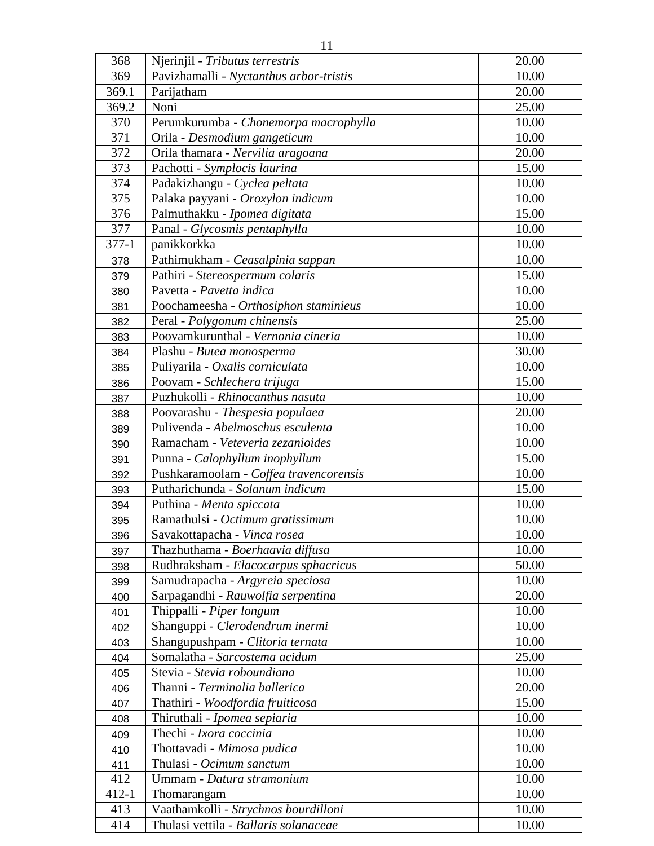| 10.00<br>369<br>Pavizhamalli - Nyctanthus arbor-tristis<br>20.00<br>Parijatham<br>369.1<br>Noni<br>25.00<br>369.2<br>10.00<br>370<br>Perumkurumba - Chonemorpa macrophylla<br>371<br>10.00<br>Orila - Desmodium gangeticum<br>20.00<br>372<br>Orila thamara - Nervilia aragoana<br>373<br>15.00<br>Pachotti - Symplocis laurina<br>374<br>Padakizhangu - Cyclea peltata<br>10.00<br>375<br>Palaka payyani - Oroxylon indicum<br>10.00<br>376<br>Palmuthakku - Ipomea digitata<br>15.00<br>377<br>10.00<br>Panal - Glycosmis pentaphylla<br>10.00<br>$377 - 1$<br>panikkorkka<br>Pathimukham - Ceasalpinia sappan<br>10.00<br>378<br>15.00<br>Pathiri - Stereospermum colaris<br>379<br>10.00<br>Pavetta - Pavetta indica<br>380<br>Poochameesha - Orthosiphon staminieus<br>10.00<br>381<br>25.00<br>Peral - Polygonum chinensis<br>382<br>Poovamkurunthal - Vernonia cineria<br>10.00<br>383<br>30.00<br>Plashu - Butea monosperma<br>384<br>10.00<br>Puliyarila - Oxalis corniculata<br>385<br>15.00<br>Poovam - Schlechera trijuga<br>386<br>Puzhukolli - Rhinocanthus nasuta<br>10.00<br>387<br>20.00<br>Poovarashu - Thespesia populaea<br>388<br>Pulivenda - Abelmoschus esculenta<br>10.00<br>389<br>10.00<br>Ramacham - Veteveria zezanioides<br>390<br>15.00<br>Punna - Calophyllum inophyllum<br>391<br>10.00<br>Pushkaramoolam - Coffea travencorensis<br>392<br>15.00<br>Putharichunda - Solanum indicum<br>393<br>Puthina - Menta spiccata<br>10.00<br>394<br>Ramathulsi - Octimum gratissimum<br>10.00<br>395<br>10.00<br>396<br>Savakottapacha - <i>Vinca rosea</i><br>Thazhuthama - Boerhaavia diffusa<br>10.00<br>397<br>50.00<br>Rudhraksham - Elacocarpus sphacricus |
|-----------------------------------------------------------------------------------------------------------------------------------------------------------------------------------------------------------------------------------------------------------------------------------------------------------------------------------------------------------------------------------------------------------------------------------------------------------------------------------------------------------------------------------------------------------------------------------------------------------------------------------------------------------------------------------------------------------------------------------------------------------------------------------------------------------------------------------------------------------------------------------------------------------------------------------------------------------------------------------------------------------------------------------------------------------------------------------------------------------------------------------------------------------------------------------------------------------------------------------------------------------------------------------------------------------------------------------------------------------------------------------------------------------------------------------------------------------------------------------------------------------------------------------------------------------------------------------------------------------------------------------------------------------------------------------------|
|                                                                                                                                                                                                                                                                                                                                                                                                                                                                                                                                                                                                                                                                                                                                                                                                                                                                                                                                                                                                                                                                                                                                                                                                                                                                                                                                                                                                                                                                                                                                                                                                                                                                                         |
|                                                                                                                                                                                                                                                                                                                                                                                                                                                                                                                                                                                                                                                                                                                                                                                                                                                                                                                                                                                                                                                                                                                                                                                                                                                                                                                                                                                                                                                                                                                                                                                                                                                                                         |
|                                                                                                                                                                                                                                                                                                                                                                                                                                                                                                                                                                                                                                                                                                                                                                                                                                                                                                                                                                                                                                                                                                                                                                                                                                                                                                                                                                                                                                                                                                                                                                                                                                                                                         |
|                                                                                                                                                                                                                                                                                                                                                                                                                                                                                                                                                                                                                                                                                                                                                                                                                                                                                                                                                                                                                                                                                                                                                                                                                                                                                                                                                                                                                                                                                                                                                                                                                                                                                         |
|                                                                                                                                                                                                                                                                                                                                                                                                                                                                                                                                                                                                                                                                                                                                                                                                                                                                                                                                                                                                                                                                                                                                                                                                                                                                                                                                                                                                                                                                                                                                                                                                                                                                                         |
|                                                                                                                                                                                                                                                                                                                                                                                                                                                                                                                                                                                                                                                                                                                                                                                                                                                                                                                                                                                                                                                                                                                                                                                                                                                                                                                                                                                                                                                                                                                                                                                                                                                                                         |
|                                                                                                                                                                                                                                                                                                                                                                                                                                                                                                                                                                                                                                                                                                                                                                                                                                                                                                                                                                                                                                                                                                                                                                                                                                                                                                                                                                                                                                                                                                                                                                                                                                                                                         |
|                                                                                                                                                                                                                                                                                                                                                                                                                                                                                                                                                                                                                                                                                                                                                                                                                                                                                                                                                                                                                                                                                                                                                                                                                                                                                                                                                                                                                                                                                                                                                                                                                                                                                         |
|                                                                                                                                                                                                                                                                                                                                                                                                                                                                                                                                                                                                                                                                                                                                                                                                                                                                                                                                                                                                                                                                                                                                                                                                                                                                                                                                                                                                                                                                                                                                                                                                                                                                                         |
|                                                                                                                                                                                                                                                                                                                                                                                                                                                                                                                                                                                                                                                                                                                                                                                                                                                                                                                                                                                                                                                                                                                                                                                                                                                                                                                                                                                                                                                                                                                                                                                                                                                                                         |
|                                                                                                                                                                                                                                                                                                                                                                                                                                                                                                                                                                                                                                                                                                                                                                                                                                                                                                                                                                                                                                                                                                                                                                                                                                                                                                                                                                                                                                                                                                                                                                                                                                                                                         |
|                                                                                                                                                                                                                                                                                                                                                                                                                                                                                                                                                                                                                                                                                                                                                                                                                                                                                                                                                                                                                                                                                                                                                                                                                                                                                                                                                                                                                                                                                                                                                                                                                                                                                         |
|                                                                                                                                                                                                                                                                                                                                                                                                                                                                                                                                                                                                                                                                                                                                                                                                                                                                                                                                                                                                                                                                                                                                                                                                                                                                                                                                                                                                                                                                                                                                                                                                                                                                                         |
|                                                                                                                                                                                                                                                                                                                                                                                                                                                                                                                                                                                                                                                                                                                                                                                                                                                                                                                                                                                                                                                                                                                                                                                                                                                                                                                                                                                                                                                                                                                                                                                                                                                                                         |
|                                                                                                                                                                                                                                                                                                                                                                                                                                                                                                                                                                                                                                                                                                                                                                                                                                                                                                                                                                                                                                                                                                                                                                                                                                                                                                                                                                                                                                                                                                                                                                                                                                                                                         |
|                                                                                                                                                                                                                                                                                                                                                                                                                                                                                                                                                                                                                                                                                                                                                                                                                                                                                                                                                                                                                                                                                                                                                                                                                                                                                                                                                                                                                                                                                                                                                                                                                                                                                         |
|                                                                                                                                                                                                                                                                                                                                                                                                                                                                                                                                                                                                                                                                                                                                                                                                                                                                                                                                                                                                                                                                                                                                                                                                                                                                                                                                                                                                                                                                                                                                                                                                                                                                                         |
|                                                                                                                                                                                                                                                                                                                                                                                                                                                                                                                                                                                                                                                                                                                                                                                                                                                                                                                                                                                                                                                                                                                                                                                                                                                                                                                                                                                                                                                                                                                                                                                                                                                                                         |
|                                                                                                                                                                                                                                                                                                                                                                                                                                                                                                                                                                                                                                                                                                                                                                                                                                                                                                                                                                                                                                                                                                                                                                                                                                                                                                                                                                                                                                                                                                                                                                                                                                                                                         |
|                                                                                                                                                                                                                                                                                                                                                                                                                                                                                                                                                                                                                                                                                                                                                                                                                                                                                                                                                                                                                                                                                                                                                                                                                                                                                                                                                                                                                                                                                                                                                                                                                                                                                         |
|                                                                                                                                                                                                                                                                                                                                                                                                                                                                                                                                                                                                                                                                                                                                                                                                                                                                                                                                                                                                                                                                                                                                                                                                                                                                                                                                                                                                                                                                                                                                                                                                                                                                                         |
|                                                                                                                                                                                                                                                                                                                                                                                                                                                                                                                                                                                                                                                                                                                                                                                                                                                                                                                                                                                                                                                                                                                                                                                                                                                                                                                                                                                                                                                                                                                                                                                                                                                                                         |
|                                                                                                                                                                                                                                                                                                                                                                                                                                                                                                                                                                                                                                                                                                                                                                                                                                                                                                                                                                                                                                                                                                                                                                                                                                                                                                                                                                                                                                                                                                                                                                                                                                                                                         |
|                                                                                                                                                                                                                                                                                                                                                                                                                                                                                                                                                                                                                                                                                                                                                                                                                                                                                                                                                                                                                                                                                                                                                                                                                                                                                                                                                                                                                                                                                                                                                                                                                                                                                         |
|                                                                                                                                                                                                                                                                                                                                                                                                                                                                                                                                                                                                                                                                                                                                                                                                                                                                                                                                                                                                                                                                                                                                                                                                                                                                                                                                                                                                                                                                                                                                                                                                                                                                                         |
|                                                                                                                                                                                                                                                                                                                                                                                                                                                                                                                                                                                                                                                                                                                                                                                                                                                                                                                                                                                                                                                                                                                                                                                                                                                                                                                                                                                                                                                                                                                                                                                                                                                                                         |
|                                                                                                                                                                                                                                                                                                                                                                                                                                                                                                                                                                                                                                                                                                                                                                                                                                                                                                                                                                                                                                                                                                                                                                                                                                                                                                                                                                                                                                                                                                                                                                                                                                                                                         |
|                                                                                                                                                                                                                                                                                                                                                                                                                                                                                                                                                                                                                                                                                                                                                                                                                                                                                                                                                                                                                                                                                                                                                                                                                                                                                                                                                                                                                                                                                                                                                                                                                                                                                         |
|                                                                                                                                                                                                                                                                                                                                                                                                                                                                                                                                                                                                                                                                                                                                                                                                                                                                                                                                                                                                                                                                                                                                                                                                                                                                                                                                                                                                                                                                                                                                                                                                                                                                                         |
|                                                                                                                                                                                                                                                                                                                                                                                                                                                                                                                                                                                                                                                                                                                                                                                                                                                                                                                                                                                                                                                                                                                                                                                                                                                                                                                                                                                                                                                                                                                                                                                                                                                                                         |
|                                                                                                                                                                                                                                                                                                                                                                                                                                                                                                                                                                                                                                                                                                                                                                                                                                                                                                                                                                                                                                                                                                                                                                                                                                                                                                                                                                                                                                                                                                                                                                                                                                                                                         |
|                                                                                                                                                                                                                                                                                                                                                                                                                                                                                                                                                                                                                                                                                                                                                                                                                                                                                                                                                                                                                                                                                                                                                                                                                                                                                                                                                                                                                                                                                                                                                                                                                                                                                         |
| 398                                                                                                                                                                                                                                                                                                                                                                                                                                                                                                                                                                                                                                                                                                                                                                                                                                                                                                                                                                                                                                                                                                                                                                                                                                                                                                                                                                                                                                                                                                                                                                                                                                                                                     |
| Samudrapacha - Argyreia speciosa<br>10.00<br>399                                                                                                                                                                                                                                                                                                                                                                                                                                                                                                                                                                                                                                                                                                                                                                                                                                                                                                                                                                                                                                                                                                                                                                                                                                                                                                                                                                                                                                                                                                                                                                                                                                        |
| 20.00<br>Sarpagandhi - Rauwolfia serpentina<br>400                                                                                                                                                                                                                                                                                                                                                                                                                                                                                                                                                                                                                                                                                                                                                                                                                                                                                                                                                                                                                                                                                                                                                                                                                                                                                                                                                                                                                                                                                                                                                                                                                                      |
| 10.00<br>Thippalli - Piper longum<br>401                                                                                                                                                                                                                                                                                                                                                                                                                                                                                                                                                                                                                                                                                                                                                                                                                                                                                                                                                                                                                                                                                                                                                                                                                                                                                                                                                                                                                                                                                                                                                                                                                                                |
| 10.00<br>Shanguppi - Clerodendrum inermi<br>402                                                                                                                                                                                                                                                                                                                                                                                                                                                                                                                                                                                                                                                                                                                                                                                                                                                                                                                                                                                                                                                                                                                                                                                                                                                                                                                                                                                                                                                                                                                                                                                                                                         |
| 10.00<br>Shangupushpam - Clitoria ternata<br>403                                                                                                                                                                                                                                                                                                                                                                                                                                                                                                                                                                                                                                                                                                                                                                                                                                                                                                                                                                                                                                                                                                                                                                                                                                                                                                                                                                                                                                                                                                                                                                                                                                        |
| Somalatha - Sarcostema acidum<br>25.00<br>404                                                                                                                                                                                                                                                                                                                                                                                                                                                                                                                                                                                                                                                                                                                                                                                                                                                                                                                                                                                                                                                                                                                                                                                                                                                                                                                                                                                                                                                                                                                                                                                                                                           |
| 10.00<br>Stevia - Stevia roboundiana<br>405                                                                                                                                                                                                                                                                                                                                                                                                                                                                                                                                                                                                                                                                                                                                                                                                                                                                                                                                                                                                                                                                                                                                                                                                                                                                                                                                                                                                                                                                                                                                                                                                                                             |
| 20.00<br>Thanni - Terminalia ballerica<br>406                                                                                                                                                                                                                                                                                                                                                                                                                                                                                                                                                                                                                                                                                                                                                                                                                                                                                                                                                                                                                                                                                                                                                                                                                                                                                                                                                                                                                                                                                                                                                                                                                                           |
| 15.00<br>Thathiri - Woodfordia fruiticosa<br>407                                                                                                                                                                                                                                                                                                                                                                                                                                                                                                                                                                                                                                                                                                                                                                                                                                                                                                                                                                                                                                                                                                                                                                                                                                                                                                                                                                                                                                                                                                                                                                                                                                        |
| 10.00<br>Thiruthali - Ipomea sepiaria<br>408                                                                                                                                                                                                                                                                                                                                                                                                                                                                                                                                                                                                                                                                                                                                                                                                                                                                                                                                                                                                                                                                                                                                                                                                                                                                                                                                                                                                                                                                                                                                                                                                                                            |
| Thechi - Ixora coccinia<br>10.00<br>409                                                                                                                                                                                                                                                                                                                                                                                                                                                                                                                                                                                                                                                                                                                                                                                                                                                                                                                                                                                                                                                                                                                                                                                                                                                                                                                                                                                                                                                                                                                                                                                                                                                 |
| 10.00<br>Thottavadi - Mimosa pudica<br>410                                                                                                                                                                                                                                                                                                                                                                                                                                                                                                                                                                                                                                                                                                                                                                                                                                                                                                                                                                                                                                                                                                                                                                                                                                                                                                                                                                                                                                                                                                                                                                                                                                              |
| 10.00<br>Thulasi - Ocimum sanctum<br>411                                                                                                                                                                                                                                                                                                                                                                                                                                                                                                                                                                                                                                                                                                                                                                                                                                                                                                                                                                                                                                                                                                                                                                                                                                                                                                                                                                                                                                                                                                                                                                                                                                                |
| 412<br>Ummam - Datura stramonium<br>10.00                                                                                                                                                                                                                                                                                                                                                                                                                                                                                                                                                                                                                                                                                                                                                                                                                                                                                                                                                                                                                                                                                                                                                                                                                                                                                                                                                                                                                                                                                                                                                                                                                                               |
| 10.00<br>$412 - 1$<br>Thomarangam                                                                                                                                                                                                                                                                                                                                                                                                                                                                                                                                                                                                                                                                                                                                                                                                                                                                                                                                                                                                                                                                                                                                                                                                                                                                                                                                                                                                                                                                                                                                                                                                                                                       |
| Vaathamkolli - Strychnos bourdilloni<br>10.00<br>413                                                                                                                                                                                                                                                                                                                                                                                                                                                                                                                                                                                                                                                                                                                                                                                                                                                                                                                                                                                                                                                                                                                                                                                                                                                                                                                                                                                                                                                                                                                                                                                                                                    |
| 414<br>Thulasi vettila - Ballaris solanaceae<br>10.00                                                                                                                                                                                                                                                                                                                                                                                                                                                                                                                                                                                                                                                                                                                                                                                                                                                                                                                                                                                                                                                                                                                                                                                                                                                                                                                                                                                                                                                                                                                                                                                                                                   |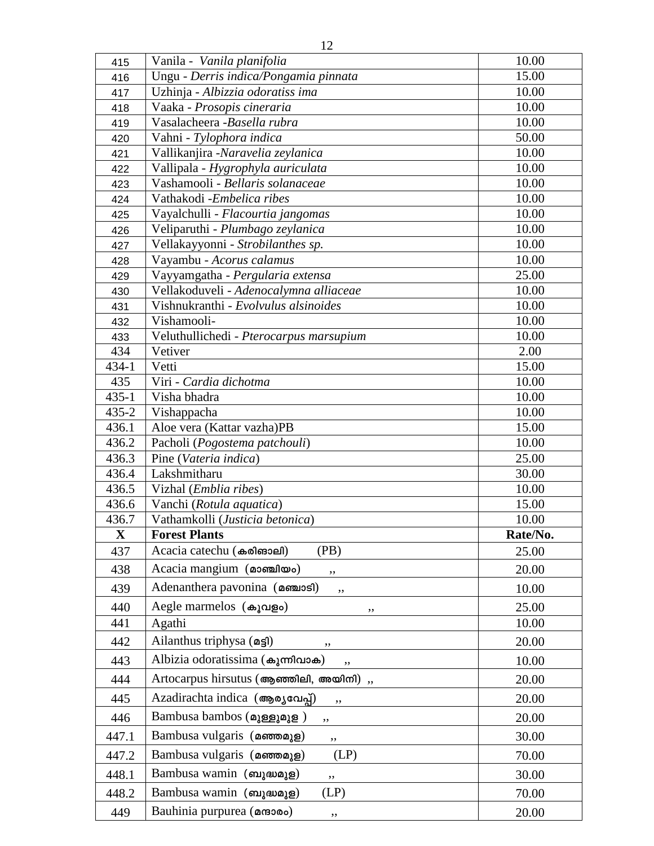|     | 12                                    |       |
|-----|---------------------------------------|-------|
| 415 | Vanila - Vanila planifolia            | 10.00 |
| 416 | Ungu - Derris indica/Pongamia pinnata | 15.00 |
| 417 | Uzhinja - Albizzia odoratiss ima      | 10.00 |
| 418 | Vaaka - Prosopis cineraria            | 10.00 |
| 419 | Vasalacheera -Basella rubra           | 10.00 |
| 420 | Vahni - Tylophora indica              | 50.00 |
| 421 | Vallikanjira -Naravelia zeylanica     | 10.00 |
| 422 | Vallipala - Hygrophyla auriculata     | 10.00 |
| 423 | Vashamooli - Bellaris solanaceae      | 10.00 |
| 424 | Vathakodi - Embelica ribes            | 10.00 |
| 425 | Vayalchulli - Flacourtia jangomas     | 10.00 |
| 426 | Veliparuthi - Plumbago zeylanica      | 10.00 |
| 427 | Vellakayyonni - Strobilanthes sp.     | 10.00 |
| 428 | Vayambu - Acorus calamus              | 10.00 |
| 429 | Vayyamgatha - Pergularia extensa      | 25.00 |
|     |                                       |       |

| 419          | Vasalacheera -Basella rubra<br>10.00    |          |
|--------------|-----------------------------------------|----------|
| 420          | Vahni - Tylophora indica                | 50.00    |
| 421          | Vallikanjira -Naravelia zeylanica       | 10.00    |
| 422          | Vallipala - Hygrophyla auriculata       | 10.00    |
| 423          | Vashamooli - Bellaris solanaceae        | 10.00    |
| 424          | Vathakodi - Embelica ribes              | 10.00    |
| 425          | Vayalchulli - Flacourtia jangomas       | 10.00    |
| 426          | Veliparuthi - Plumbago zeylanica        | 10.00    |
| 427          | Vellakayyonni - Strobilanthes sp.       | 10.00    |
| 428          | Vayambu - Acorus calamus                | 10.00    |
| 429          | Vayyamgatha - Pergularia extensa        | 25.00    |
| 430          | Vellakoduveli - Adenocalymna alliaceae  | 10.00    |
| 431          | Vishnukranthi - Evolvulus alsinoides    | 10.00    |
| 432          | Vishamooli-                             | 10.00    |
| 433          | Veluthullichedi - Pterocarpus marsupium | 10.00    |
| 434          | Vetiver                                 | 2.00     |
| 434-1        | Vetti                                   | 15.00    |
| 435          | Viri - Cardia dichotma                  | 10.00    |
| $435 - 1$    | Visha bhadra                            | 10.00    |
| $435 - 2$    | Vishappacha                             | 10.00    |
| 436.1        | Aloe vera (Kattar vazha)PB              | 15.00    |
| 436.2        | Pacholi (Pogostema patchouli)           | 10.00    |
| 436.3        | Pine (Vateria indica)                   | 25.00    |
|              |                                         |          |
| 436.4        | Lakshmitharu                            | 30.00    |
| 436.5        | Vizhal ( <i>Emblia ribes</i> )          | 10.00    |
| 436.6        | Vanchi (Rotula aquatica)                | 15.00    |
| 436.7        | Vathamkolli (Justicia betonica)         | 10.00    |
| $\mathbf{X}$ | <b>Forest Plants</b>                    | Rate/No. |
| 437          | Acacia catechu (കരിങാലി)<br>(PB)        | 25.00    |
| 438          | Acacia mangium (@o.ml@o)<br>,,          | 20.00    |
| 439          | Adenanthera pavonina (amaiosi)<br>,,    | 10.00    |
| 440          | Aegle marmelos (കൂവളം)<br>,,            | 25.00    |
| 441          | Agathi                                  | 10.00    |
| 442          | Ailanthus triphysa $(a \leq 1)$<br>,,   | 20.00    |
| 443          | Albizia odoratissima (കുന്നിവാക)        | 10.00    |
| 444          | Artocarpus hirsutus (ആഞ്ഞിലി, അയിനി),   | 20.00    |
| 445          | Azadirachta indica (ആര്യവേപ്പ്)<br>,,   | 20.00    |
| 446          | Bambusa bambos (മുള്ളുമുള)<br>,,        | 20.00    |
| 447.1        | Bambusa vulgaris (ammaga)<br>,,         | 30.00    |
| 447.2        | Bambusa vulgaris (മഞ്ഞമുള)<br>(LP)      | 70.00    |
| 448.1        | Bambusa wamin (ബുദ്ധമുള)<br>,,          | 30.00    |
| 448.2        | Bambusa wamin (ബുദ്ധമുള)<br>(LP)        | 70.00    |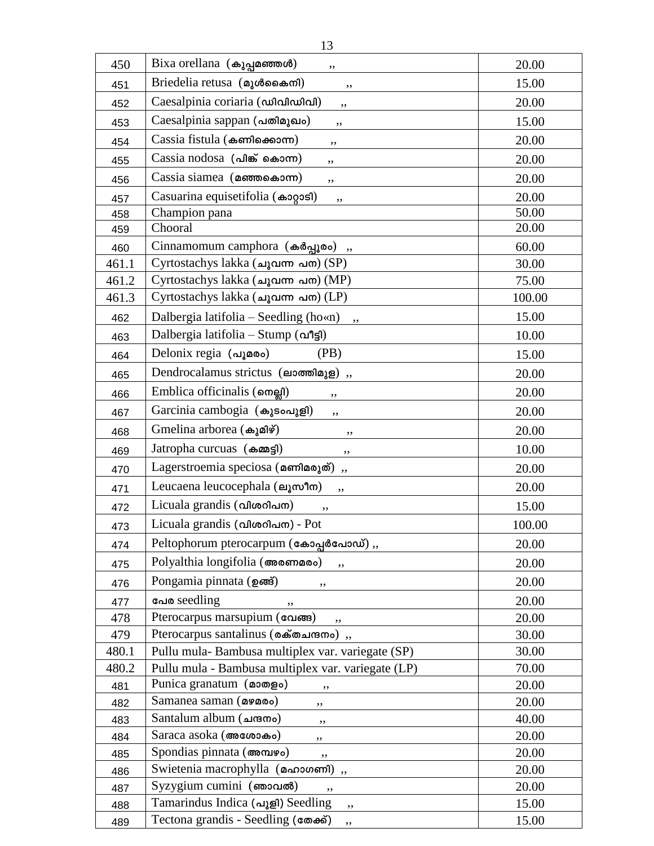| 450   | Bixa orellana (കുപ്പമഞ്ഞൾ)<br>,,                      | 20.00  |  |
|-------|-------------------------------------------------------|--------|--|
| 451   | Briedelia retusa (อาเซิดออก)<br>,,                    | 15.00  |  |
| 452   | Caesalpinia coriaria (condinual)<br>,,                | 20.00  |  |
| 453   | Caesalpinia sappan (പതിമുഖം)<br>,,                    | 15.00  |  |
| 454   | Cassia fistula (കണിക്കൊന്ന)<br>,,                     | 20.00  |  |
| 455   | Cassia nodosa (പിങ്ക് കൊന്ന)<br>,,                    | 20.00  |  |
| 456   | Cassia siamea ( <b>ammosa</b> om)<br>,,               | 20.00  |  |
| 457   | Casuarina equisetifolia (കാറ്റാടി)<br>,,              | 20.00  |  |
| 458   | Champion pana                                         | 50.00  |  |
| 459   | Chooral                                               | 20.00  |  |
| 460   | Cinnamomum camphora (കർപ്പൂരം)<br>60.00<br>, ,        |        |  |
| 461.1 | Cyrtostachys lakka (ചുവന്ന പന) (SP)                   | 30.00  |  |
| 461.2 | Cyrtostachys lakka (ചുവന്ന പന) (MP)                   | 75.00  |  |
| 461.3 | Cyrtostachys lakka (ചുവന്ന പന) (LP)                   | 100.00 |  |
| 462   | Dalbergia latifolia $-$ Seedling (ho«n)               | 15.00  |  |
| 463   | Dalbergia latifolia - Stump $(\alpha$ <sup>9</sup> 5) | 10.00  |  |
| 464   | Delonix regia (வுமலை)<br>(PB)                         | 15.00  |  |
| 465   | Dendrocalamus strictus (ലാത്തിമുള),                   | 20.00  |  |
| 466   | Emblica officinalis ( <sub>omell</sub> )<br>,,        | 20.00  |  |
| 467   | Garcinia cambogia (കൂടംപൂളി)<br>,,                    | 20.00  |  |
| 468   | Gmelina arborea (കുമിഴ്)<br>,,                        | 20.00  |  |
| 469   | Jatropha curcuas (கm<br>,,                            | 10.00  |  |
| 470   | Lagerstroemia speciosa (മണിമരുത്)<br>,,               | 20.00  |  |
| 471   | Leucaena leucocephala (en mºlm)<br>,,                 | 20.00  |  |
| 472   | Licuala grandis (വിശറിപന)<br>,,                       | 15.00  |  |
| 473   | Licuala grandis (விகை) - Pot                          | 100.00 |  |
| 474   | Peltophorum pterocarpum (கോപ്പർപോഡ്),,                | 20.00  |  |
| 475   | Polyalthia longifolia (അരണമരം)<br>,,                  | 20.00  |  |
| 476   | Pongamia pinnata (ഉങ്ങ്)<br>,,                        | 20.00  |  |
| 477   | പേര seedling<br>,,                                    | 20.00  |  |
| 478   | Pterocarpus marsupium (வேணு)<br>,,                    | 20.00  |  |
| 479   | Pterocarpus santalinus (லக்கையாை),                    | 30.00  |  |
| 480.1 | Pullu mula-Bambusa multiplex var. variegate (SP)      | 30.00  |  |
| 480.2 | Pullu mula - Bambusa multiplex var. variegate (LP)    | 70.00  |  |
| 481   | Punica granatum (മാതളം)<br>,,                         | 20.00  |  |
| 482   | Samanea saman (09000)<br>,,                           | 20.00  |  |
| 483   | Santalum album (ചന്ദനം)<br>,,                         | 40.00  |  |
| 484   | Saraca asoka (അശോകം)<br>,,                            | 20.00  |  |
| 485   | Spondias pinnata (അമ്പഴം)<br>20.00<br>,,              |        |  |
| 486   | Swietenia macrophylla (മഹാഗണി),                       | 20.00  |  |
| 487   | Syzygium cumini (ഞാവൽ)<br>20.00                       |        |  |
| 488   | Tamarindus Indica (வுதி) Seedling<br>,,               | 15.00  |  |
| 489   | Tectona grandis - Seedling (comes)<br>,,              | 15.00  |  |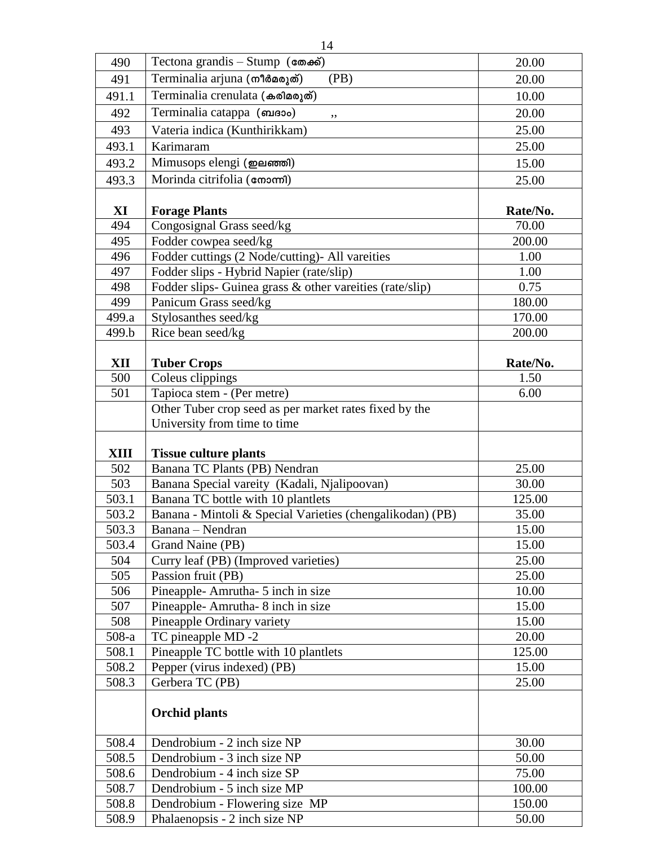| 490            |                                                                 |                 |
|----------------|-----------------------------------------------------------------|-----------------|
|                | Tectona grandis - Stump $(\cos \theta)$                         | 20.00           |
| 491            | Terminalia arjuna (mlิติอดาตั)<br>(PB)                          | 20.00           |
| 491.1          | Terminalia crenulata (കരിമരുത്)                                 | 10.00           |
| 492            | Terminalia catappa (masoo)<br>,,                                | 20.00           |
| 493            | Vateria indica (Kunthirikkam)                                   | 25.00           |
| 493.1          | Karimaram                                                       | 25.00           |
| 493.2          | Mimusops elengi (ஐவணலி)                                         | 15.00           |
| 493.3          | Morinda citrifolia (cmom)                                       |                 |
|                |                                                                 | 25.00           |
| XI             | <b>Forage Plants</b>                                            | Rate/No.        |
| 494            | Congosignal Grass seed/kg                                       | 70.00           |
| 495            | 200.00<br>Fodder cowpea seed/kg                                 |                 |
| 496            | Fodder cuttings (2 Node/cutting)- All vareities                 | 1.00            |
| 497            | Fodder slips - Hybrid Napier (rate/slip)                        | 1.00            |
| 498            | Fodder slips- Guinea grass & other vareities (rate/slip)        | 0.75            |
| 499            | Panicum Grass seed/kg                                           | 180.00          |
| 499.a          | Stylosanthes seed/kg                                            | 170.00          |
| 499.b          | Rice bean seed/kg                                               | 200.00          |
|                |                                                                 |                 |
| XII            | <b>Tuber Crops</b>                                              | Rate/No.        |
| 500            | Coleus clippings                                                | 1.50<br>6.00    |
| 501            | Tapioca stem - (Per metre)                                      |                 |
|                | Other Tuber crop seed as per market rates fixed by the          |                 |
|                | University from time to time                                    |                 |
|                |                                                                 |                 |
|                | <b>Tissue culture plants</b>                                    |                 |
| <b>XIII</b>    |                                                                 |                 |
| 502            | Banana TC Plants (PB) Nendran                                   | 25.00           |
| 503            | Banana Special vareity (Kadali, Njalipoovan)                    | 30.00           |
| 503.1          | Banana TC bottle with 10 plantlets                              | 125.00          |
| 503.2          | Banana - Mintoli & Special Varieties (chengalikodan) (PB)       | 35.00           |
| 503.3          | Banana - Nendran                                                | 15.00           |
| 503.4          | Grand Naine (PB)                                                | 15.00           |
| 504            | Curry leaf (PB) (Improved varieties)                            | 25.00           |
| 505            | Passion fruit (PB)                                              | 25.00           |
| 506            | Pineapple-Amrutha- 5 inch in size                               | 10.00           |
| 507            | Pineapple-Amrutha-8 inch in size                                | 15.00           |
| 508            | Pineapple Ordinary variety                                      | 15.00           |
| $508-a$        | TC pineapple MD -2                                              | 20.00           |
| 508.1          | Pineapple TC bottle with 10 plantlets                           | 125.00          |
| 508.2          | Pepper (virus indexed) (PB)                                     | 15.00           |
| 508.3          | Gerbera TC (PB)                                                 | 25.00           |
|                | <b>Orchid plants</b>                                            |                 |
|                |                                                                 |                 |
| 508.4          | Dendrobium - 2 inch size NP                                     | 30.00           |
| 508.5          | Dendrobium - 3 inch size NP                                     | 50.00           |
| 508.6          | Dendrobium - 4 inch size SP                                     | 75.00           |
| 508.7          | Dendrobium - 5 inch size MP                                     | 100.00          |
| 508.8<br>508.9 | Dendrobium - Flowering size MP<br>Phalaenopsis - 2 inch size NP | 150.00<br>50.00 |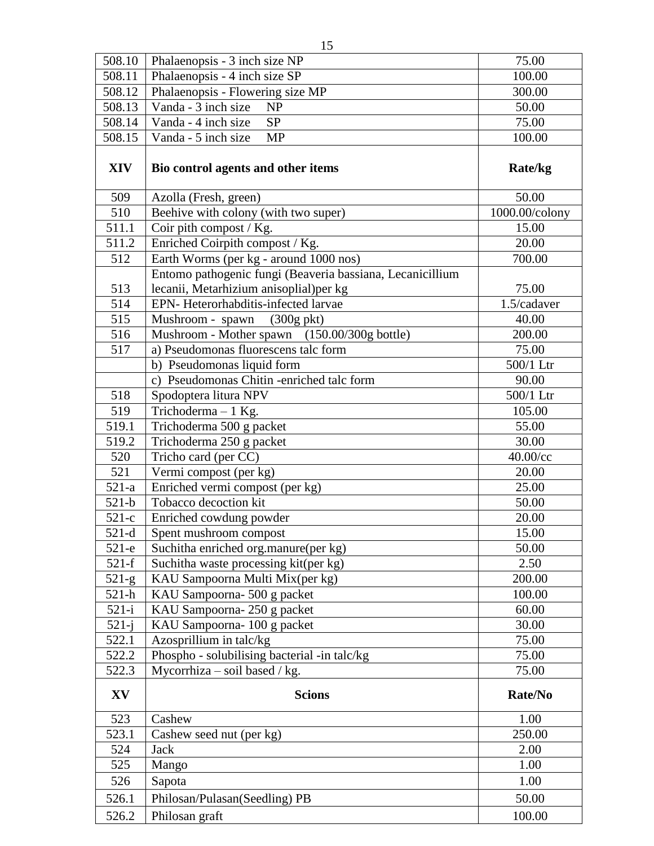| 508.10     | Phalaenopsis - 3 inch size NP                             | 75.00          |
|------------|-----------------------------------------------------------|----------------|
| 508.11     | Phalaenopsis - 4 inch size SP                             | 100.00         |
| 508.12     | Phalaenopsis - Flowering size MP                          | 300.00         |
| 508.13     | Vanda - 3 inch size<br><b>NP</b>                          | 50.00          |
| 508.14     | <b>SP</b><br>Vanda - 4 inch size                          | 75.00          |
| 508.15     | Vanda - 5 inch size<br><b>MP</b>                          | 100.00         |
| <b>XIV</b> | Bio control agents and other items                        | Rate/kg        |
| 509        | Azolla (Fresh, green)                                     | 50.00          |
| 510        | Beehive with colony (with two super)                      | 1000.00/colony |
| 511.1      | Coir pith compost / Kg.                                   | 15.00          |
| 511.2      | Enriched Coirpith compost / Kg.<br>20.00                  |                |
| 512        | Earth Worms (per kg - around 1000 nos)<br>700.00          |                |
|            | Entomo pathogenic fungi (Beaveria bassiana, Lecanicillium |                |
| 513        | lecanii, Metarhizium anisoplial) per kg                   | 75.00          |
| 514        | EPN- Heterorhabditis-infected larvae                      | 1.5/cadaver    |
| 515        | Mushroom - spawn<br>$(300g \text{ pkt})$                  | 40.00          |
| 516        | Mushroom - Mother spawn (150.00/300g bottle)              | 200.00         |
| 517        | a) Pseudomonas fluorescens talc form                      | 75.00          |
|            | b) Pseudomonas liquid form                                | 500/1 Ltr      |
|            | c) Pseudomonas Chitin -enriched talc form                 | 90.00          |
| 518        | Spodoptera litura NPV                                     | 500/1 Ltr      |
| 519        | Trichoderma - 1 Kg.                                       | 105.00         |
| 519.1      | Trichoderma 500 g packet                                  | 55.00          |
| 519.2      | Trichoderma 250 g packet                                  | 30.00          |
| 520        | Tricho card (per CC)                                      | $40.00$ /cc    |
| 521        | Vermi compost (per kg)                                    | 20.00          |
| $521-a$    | Enriched vermi compost (per kg)                           | 25.00          |
| $521-b$    | Tobacco decoction kit                                     | 50.00          |
| $521-c$    | Enriched cowdung powder                                   | 20.00          |
| $521-d$    | Spent mushroom compost                                    | 15.00          |
| $521-e$    | Suchitha enriched org.manure(per kg)                      | 50.00          |
| $521-f$    | Suchitha waste processing kit(per kg)                     | 2.50           |
| $521-g$    | KAU Sampoorna Multi Mix(per kg)                           | 200.00         |
| 521-h      | KAU Sampoorna-500 g packet                                | 100.00         |
| $521 - i$  | KAU Sampoorna-250 g packet                                | 60.00          |
| $521 - j$  | KAU Sampoorna-100 g packet                                | 30.00          |
| 522.1      | Azosprillium in talc/kg                                   | 75.00          |
| 522.2      | Phospho - solubilising bacterial -in talc/kg              | 75.00          |
| 522.3      | Mycorrhiza – soil based / kg.                             | 75.00          |
| XV         | <b>Scions</b>                                             | Rate/No        |
| 523        | Cashew                                                    | 1.00           |
| 523.1      | Cashew seed nut (per kg)                                  | 250.00         |
| 524        | Jack                                                      | 2.00           |
| 525        | Mango                                                     | 1.00           |
| 526        | Sapota                                                    | 1.00           |
| 526.1      | Philosan/Pulasan(Seedling) PB                             | 50.00          |
| 526.2      | Philosan graft                                            | 100.00         |
|            |                                                           |                |